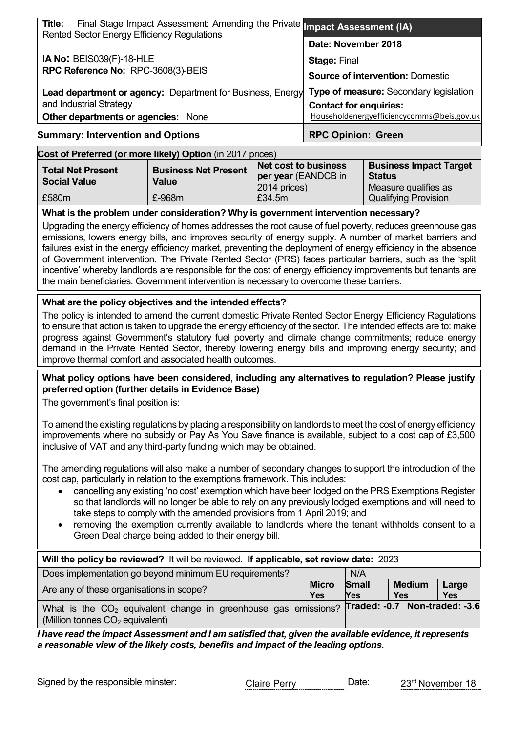| Title:<br>Final Stage Impact Assessment: Amending the Private <b>Impact Assessment (IA)</b><br>Rented Sector Energy Efficiency Regulations |                                               |
|--------------------------------------------------------------------------------------------------------------------------------------------|-----------------------------------------------|
|                                                                                                                                            | Date: November 2018                           |
| <b>IA No: BEIS039(F)-18-HLE</b>                                                                                                            | <b>Stage: Final</b>                           |
| RPC Reference No: RPC-3608(3)-BEIS                                                                                                         | <b>Source of intervention: Domestic</b>       |
| <b>Lead department or agency:</b> Department for Business, Energy                                                                          | <b>Type of measure: Secondary legislation</b> |
| and Industrial Strategy                                                                                                                    | <b>Contact for enquiries:</b>                 |
| <b>Other departments or agencies: None</b>                                                                                                 | Householdenergyefficiencycomms@beis.gov.uk    |
| <b>Summary: Intervention and Options</b>                                                                                                   | <b>RPC Opinion: Green</b>                     |
| Cost of Preferred (or more likely) Ontion (in 2017 prices)                                                                                 |                                               |

| Cost of Preferred (or more likely) Option (in 2017 prices) |                             |                             |                               |  |  |
|------------------------------------------------------------|-----------------------------|-----------------------------|-------------------------------|--|--|
| <b>Total Net Present</b>                                   | <b>Business Net Present</b> | <b>Net cost to business</b> | <b>Business Impact Target</b> |  |  |
| <b>Social Value</b>                                        | Value                       | per year (EANDCB in         | <b>Status</b>                 |  |  |
|                                                            |                             | 2014 prices)                | Measure qualifies as          |  |  |
| £580m                                                      | $£-968m$                    | £34.5m                      | <b>Qualifying Provision</b>   |  |  |

**What is the problem under consideration? Why is government intervention necessary?**

Upgrading the energy efficiency of homes addresses the root cause of fuel poverty, reduces greenhouse gas emissions, lowers energy bills, and improves security of energy supply. A number of market barriers and failures exist in the energy efficiency market, preventing the deployment of energy efficiency in the absence of Government intervention. The Private Rented Sector (PRS) faces particular barriers, such as the 'split incentive' whereby landlords are responsible for the cost of energy efficiency improvements but tenants are the main beneficiaries. Government intervention is necessary to overcome these barriers.

#### **What are the policy objectives and the intended effects?**

The policy is intended to amend the current domestic Private Rented Sector Energy Efficiency Regulations to ensure that action is taken to upgrade the energy efficiency of the sector. The intended effects are to: make progress against Government's statutory fuel poverty and climate change commitments; reduce energy demand in the Private Rented Sector, thereby lowering energy bills and improving energy security; and improve thermal comfort and associated health outcomes.

#### **What policy options have been considered, including any alternatives to regulation? Please justify preferred option (further details in Evidence Base)**

The government's final position is:

To amend the existing regulations by placing a responsibility on landlords to meet the cost of energy efficiency improvements where no subsidy or Pay As You Save finance is available, subject to a cost cap of £3,500 inclusive of VAT and any third-party funding which may be obtained.

The amending regulations will also make a number of secondary changes to support the introduction of the cost cap, particularly in relation to the exemptions framework. This includes:

- cancelling any existing 'no cost' exemption which have been lodged on the PRS Exemptions Register so that landlords will no longer be able to rely on any previously lodged exemptions and will need to take steps to comply with the amended provisions from 1 April 2019; and
- removing the exemption currently available to landlords where the tenant withholds consent to a Green Deal charge being added to their energy bill.

| Will the policy be reviewed? It will be reviewed. If applicable, set review date: 2023                                                                      |                            |                            |                             |                     |
|-------------------------------------------------------------------------------------------------------------------------------------------------------------|----------------------------|----------------------------|-----------------------------|---------------------|
| Does implementation go beyond minimum EU requirements?                                                                                                      |                            | N/A                        |                             |                     |
| Are any of these organisations in scope?                                                                                                                    | <b>Micro</b><br><b>Yes</b> | <b>Small</b><br><b>Yes</b> | <b>Medium</b><br><b>Yes</b> | Large<br><b>Yes</b> |
| What is the CO <sub>2</sub> equivalent change in greenhouse gas emissions? <b>Traded: -0.7 Non-traded: -3.6</b><br>$\mid$ (Million tonnes $CO2$ equivalent) |                            |                            |                             |                     |

*I have read the Impact Assessment and I am satisfied that, given the available evidence, it represents a reasonable view of the likely costs, benefits and impact of the leading options.*

Signed by the responsible minster: Claire Perry Date: 23<sup>rd</sup> November 18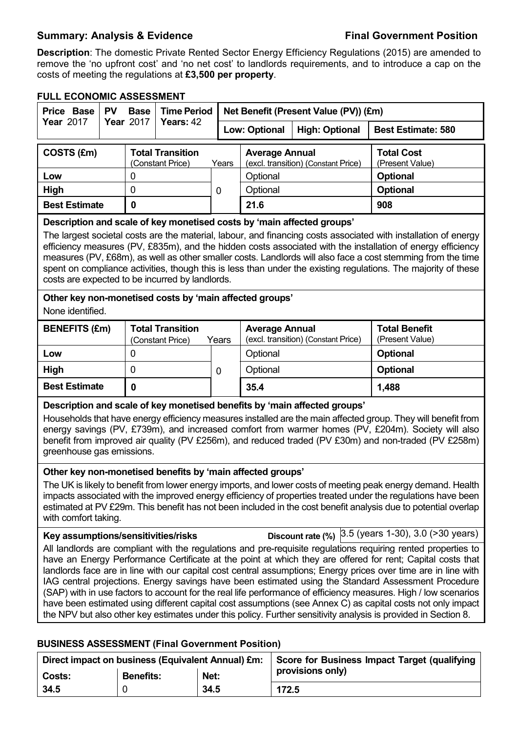### **Summary: Analysis & Evidence Final Government Position**

**Description**: The domestic Private Rented Sector Energy Efficiency Regulations (2015) are amended to remove the 'no upfront cost' and 'no net cost' to landlords requirements, and to introduce a cap on the costs of meeting the regulations at **£3,500 per property**.

## **FULL ECONOMIC ASSESSMENT**

| FULL ECUNUMIC ASSESSMEN I<br>Price Base                                                                                                                                                                                                                                                                                                                                                                                                                                                                                                                                                                                                                                                                                                                                                                                                                                                                | <b>PV</b> | <b>Base</b>      | <b>Time Period</b><br>Net Benefit (Present Value (PV)) (£m) |             |                                               |                                                                        |                                                                                                                                                                                                                                                                                                                                                                                                                                                                 |
|--------------------------------------------------------------------------------------------------------------------------------------------------------------------------------------------------------------------------------------------------------------------------------------------------------------------------------------------------------------------------------------------------------------------------------------------------------------------------------------------------------------------------------------------------------------------------------------------------------------------------------------------------------------------------------------------------------------------------------------------------------------------------------------------------------------------------------------------------------------------------------------------------------|-----------|------------------|-------------------------------------------------------------|-------------|-----------------------------------------------|------------------------------------------------------------------------|-----------------------------------------------------------------------------------------------------------------------------------------------------------------------------------------------------------------------------------------------------------------------------------------------------------------------------------------------------------------------------------------------------------------------------------------------------------------|
| <b>Year 2017</b>                                                                                                                                                                                                                                                                                                                                                                                                                                                                                                                                                                                                                                                                                                                                                                                                                                                                                       |           | <b>Year 2017</b> | Years: 42                                                   |             | <b>Low: Optional</b><br><b>High: Optional</b> |                                                                        | <b>Best Estimate: 580</b>                                                                                                                                                                                                                                                                                                                                                                                                                                       |
| COSTS (£m)                                                                                                                                                                                                                                                                                                                                                                                                                                                                                                                                                                                                                                                                                                                                                                                                                                                                                             |           |                  | <b>Total Transition</b><br>(Constant Price)                 | Years       | <b>Average Annual</b>                         | (excl. transition) (Constant Price)                                    | <b>Total Cost</b><br>(Present Value)                                                                                                                                                                                                                                                                                                                                                                                                                            |
| Low                                                                                                                                                                                                                                                                                                                                                                                                                                                                                                                                                                                                                                                                                                                                                                                                                                                                                                    |           | 0                |                                                             |             | Optional                                      |                                                                        | <b>Optional</b>                                                                                                                                                                                                                                                                                                                                                                                                                                                 |
| High                                                                                                                                                                                                                                                                                                                                                                                                                                                                                                                                                                                                                                                                                                                                                                                                                                                                                                   |           | 0                |                                                             | 0           | Optional                                      |                                                                        | <b>Optional</b>                                                                                                                                                                                                                                                                                                                                                                                                                                                 |
| <b>Best Estimate</b>                                                                                                                                                                                                                                                                                                                                                                                                                                                                                                                                                                                                                                                                                                                                                                                                                                                                                   |           | $\mathbf 0$      |                                                             |             | 21.6                                          |                                                                        | 908                                                                                                                                                                                                                                                                                                                                                                                                                                                             |
| costs are expected to be incurred by landlords.                                                                                                                                                                                                                                                                                                                                                                                                                                                                                                                                                                                                                                                                                                                                                                                                                                                        |           |                  |                                                             |             |                                               | Description and scale of key monetised costs by 'main affected groups' | The largest societal costs are the material, labour, and financing costs associated with installation of energy<br>efficiency measures (PV, £835m), and the hidden costs associated with the installation of energy efficiency<br>measures (PV, £68m), as well as other smaller costs. Landlords will also face a cost stemming from the time<br>spent on compliance activities, though this is less than under the existing regulations. The majority of these |
| Other key non-monetised costs by 'main affected groups'<br>None identified.                                                                                                                                                                                                                                                                                                                                                                                                                                                                                                                                                                                                                                                                                                                                                                                                                            |           |                  |                                                             |             |                                               |                                                                        |                                                                                                                                                                                                                                                                                                                                                                                                                                                                 |
| <b>BENEFITS (£m)</b>                                                                                                                                                                                                                                                                                                                                                                                                                                                                                                                                                                                                                                                                                                                                                                                                                                                                                   |           |                  | <b>Total Transition</b><br>(Constant Price)                 | Years       | <b>Average Annual</b>                         | (excl. transition) (Constant Price)                                    | <b>Total Benefit</b><br>(Present Value)                                                                                                                                                                                                                                                                                                                                                                                                                         |
| Low                                                                                                                                                                                                                                                                                                                                                                                                                                                                                                                                                                                                                                                                                                                                                                                                                                                                                                    |           | 0                |                                                             |             | Optional                                      |                                                                        | <b>Optional</b>                                                                                                                                                                                                                                                                                                                                                                                                                                                 |
| High                                                                                                                                                                                                                                                                                                                                                                                                                                                                                                                                                                                                                                                                                                                                                                                                                                                                                                   |           | 0                |                                                             | $\mathbf 0$ | Optional                                      |                                                                        | <b>Optional</b>                                                                                                                                                                                                                                                                                                                                                                                                                                                 |
| <b>Best Estimate</b>                                                                                                                                                                                                                                                                                                                                                                                                                                                                                                                                                                                                                                                                                                                                                                                                                                                                                   |           | $\mathbf 0$      |                                                             |             | 35.4                                          |                                                                        | 1,488                                                                                                                                                                                                                                                                                                                                                                                                                                                           |
| Description and scale of key monetised benefits by 'main affected groups'<br>Households that have energy efficiency measures installed are the main affected group. They will benefit from<br>energy savings (PV, £739m), and increased comfort from warmer homes (PV, £204m). Society will also<br>benefit from improved air quality (PV £256m), and reduced traded (PV £30m) and non-traded (PV £258m)<br>greenhouse gas emissions.<br>Other key non-monetised benefits by 'main affected groups'<br>The UK is likely to benefit from lower energy imports, and lower costs of meeting peak energy demand. Health                                                                                                                                                                                                                                                                                    |           |                  |                                                             |             |                                               |                                                                        |                                                                                                                                                                                                                                                                                                                                                                                                                                                                 |
| impacts associated with the improved energy efficiency of properties treated under the regulations have been<br>estimated at PV £29m. This benefit has not been included in the cost benefit analysis due to potential overlap<br>with comfort taking.                                                                                                                                                                                                                                                                                                                                                                                                                                                                                                                                                                                                                                                 |           |                  |                                                             |             |                                               |                                                                        |                                                                                                                                                                                                                                                                                                                                                                                                                                                                 |
| Discount rate (%) 3.5 (years 1-30), 3.0 (>30 years)<br>Key assumptions/sensitivities/risks<br>All landlords are compliant with the regulations and pre-requisite regulations requiring rented properties to<br>have an Energy Performance Certificate at the point at which they are offered for rent; Capital costs that<br>landlords face are in line with our capital cost central assumptions; Energy prices over time are in line with<br>IAG central projections. Energy savings have been estimated using the Standard Assessment Procedure<br>(SAP) with in use factors to account for the real life performance of efficiency measures. High / low scenarios<br>have been estimated using different capital cost assumptions (see Annex C) as capital costs not only impact<br>the NPV but also other key estimates under this policy. Further sensitivity analysis is provided in Section 8. |           |                  |                                                             |             |                                               |                                                                        |                                                                                                                                                                                                                                                                                                                                                                                                                                                                 |

### **BUSINESS ASSESSMENT (Final Government Position)**

| Direct impact on business (Equivalent Annual) £m: |                  |      | Score for Business Impact Target (qualifying |
|---------------------------------------------------|------------------|------|----------------------------------------------|
| Costs:                                            | <b>Benefits:</b> | Net: | provisions only)                             |
| 34.5                                              |                  | 34.5 | 172.5                                        |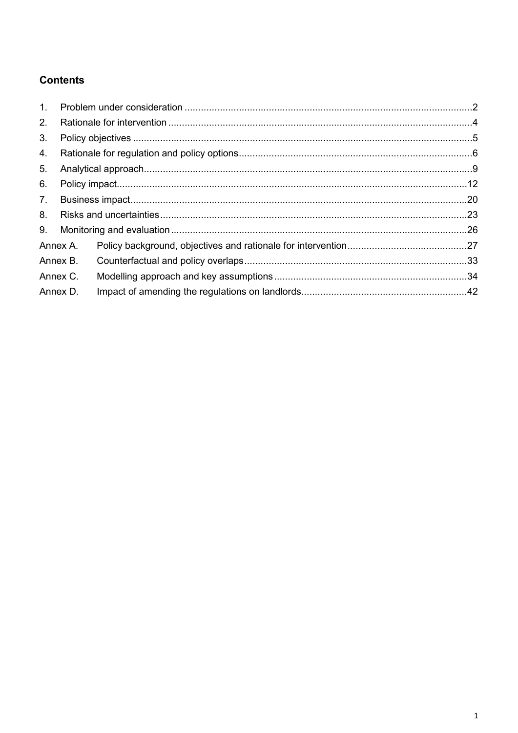## **Contents**

| 1. |          |  |
|----|----------|--|
| 2. |          |  |
| 3. |          |  |
| 4. |          |  |
| 5. |          |  |
| 6. |          |  |
| 7. |          |  |
| 8. |          |  |
| 9. |          |  |
|    | Annex A. |  |
|    | Annex B. |  |
|    | Annex C. |  |
|    | Annex D. |  |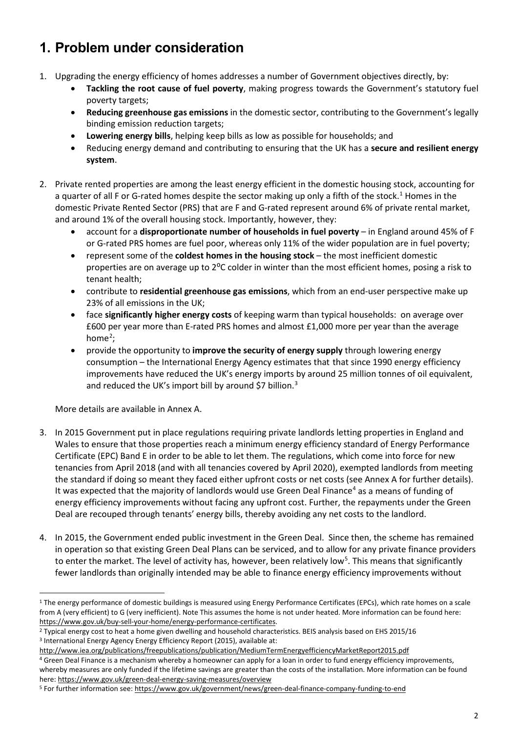## <span id="page-3-0"></span>**1. Problem under consideration**

- 1. Upgrading the energy efficiency of homes addresses a number of Government objectives directly, by:
	- **Tackling the root cause of fuel poverty**, making progress towards the Government's statutory fuel poverty targets;
	- **Reducing greenhouse gas emissions** in the domestic sector, contributing to the Government's legally binding emission reduction targets;
	- **Lowering energy bills**, helping keep bills as low as possible for households; and
	- Reducing energy demand and contributing to ensuring that the UK has a **secure and resilient energy system**.
- 2. Private rented properties are among the least energy efficient in the domestic housing stock, accounting for a quarter of all F or G-rated homes despite the sector making up only a fifth of the stock. [1](#page-3-1) Homes in the domestic Private Rented Sector (PRS) that are F and G-rated represent around 6% of private rental market, and around 1% of the overall housing stock. Importantly, however, they:
	- account for a **disproportionate number of households in fuel poverty** in England around 45% of F or G-rated PRS homes are fuel poor, whereas only 11% of the wider population are in fuel poverty;
	- represent some of the **coldest homes in the housing stock** the most inefficient domestic properties are on average up to 2<sup>o</sup>C colder in winter than the most efficient homes, posing a risk to tenant health;
	- contribute to **residential greenhouse gas emissions**, which from an end-user perspective make up 23% of all emissions in the UK;
	- face **significantly higher energy costs** of keeping warm than typical households: on average over £600 per year more than E-rated PRS homes and almost £1,000 more per year than the average home<sup>[2](#page-3-2)</sup>;
	- provide the opportunity to **improve the security of energy supply** through lowering energy consumption – the International Energy Agency estimates that that since 1990 energy efficiency improvements have reduced the UK's energy imports by around 25 million tonnes of oil equivalent, and reduced the UK's import bill by around \$7 billion.<sup>[3](#page-3-3)</sup>

More details are available in Annex A.

- 3. In 2015 Government put in place regulations requiring private landlords letting properties in England and Wales to ensure that those properties reach a minimum energy efficiency standard of Energy Performance Certificate (EPC) Band E in order to be able to let them. The regulations, which come into force for new tenancies from April 2018 (and with all tenancies covered by April 2020), exempted landlords from meeting the standard if doing so meant they faced either upfront costs or net costs (see Annex A for further details). It was expected that the majority of landlords would use Green Deal Finance<sup>[4](#page-3-4)</sup> as a means of funding of energy efficiency improvements without facing any upfront cost. Further, the repayments under the Green Deal are recouped through tenants' energy bills, thereby avoiding any net costs to the landlord.
- 4. In 2015, the Government ended public investment in the Green Deal. Since then, the scheme has remained in operation so that existing Green Deal Plans can be serviced, and to allow for any private finance providers to enter the market. The level of activity has, however, been relatively low<sup>[5](#page-3-5)</sup>. This means that significantly fewer landlords than originally intended may be able to finance energy efficiency improvements without

<span id="page-3-1"></span><sup>&</sup>lt;u>.</u> <sup>1</sup> The energy performance of domestic buildings is measured using Energy Performance Certificates (EPCs), which rate homes on a scale from A (very efficient) to G (very inefficient). Note This assumes the home is not under heated. More information can be found here:

<span id="page-3-2"></span>https://www.gov.uk/buy-sell-your-home/energy-performance-certificates.<br><sup>2</sup> Typical energy cost to heat a home given dwelling and household characteristics. BEIS analysis based on EHS 2015/16 <sup>3</sup> International Energy Agency Energy Efficiency Report (2015), available at:

<span id="page-3-3"></span><http://www.iea.org/publications/freepublications/publication/MediumTermEnergyefficiencyMarketReport2015.pdf>

<span id="page-3-4"></span><sup>4</sup> Green Deal Finance is a mechanism whereby a homeowner can apply for a loan in order to fund energy efficiency improvements, whereby measures are only funded if the lifetime savings are greater than the costs of the installation. More information can be found here[: https://www.gov.uk/green-deal-energy-saving-measures/overview](https://www.gov.uk/green-deal-energy-saving-measures/overview)

<span id="page-3-5"></span><sup>5</sup> For further information see:<https://www.gov.uk/government/news/green-deal-finance-company-funding-to-end>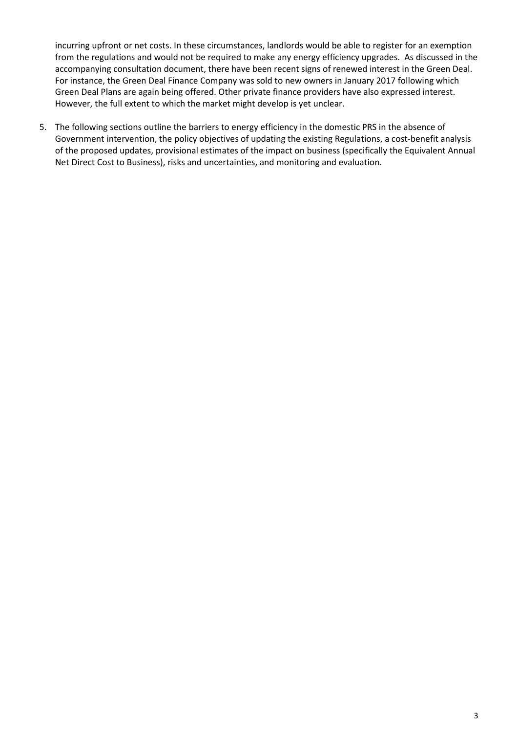incurring upfront or net costs. In these circumstances, landlords would be able to register for an exemption from the regulations and would not be required to make any energy efficiency upgrades. As discussed in the accompanying consultation document, there have been recent signs of renewed interest in the Green Deal. For instance, the Green Deal Finance Company was sold to new owners in January 2017 following which Green Deal Plans are again being offered. Other private finance providers have also expressed interest. However, the full extent to which the market might develop is yet unclear.

5. The following sections outline the barriers to energy efficiency in the domestic PRS in the absence of Government intervention, the policy objectives of updating the existing Regulations, a cost-benefit analysis of the proposed updates, provisional estimates of the impact on business (specifically the Equivalent Annual Net Direct Cost to Business), risks and uncertainties, and monitoring and evaluation.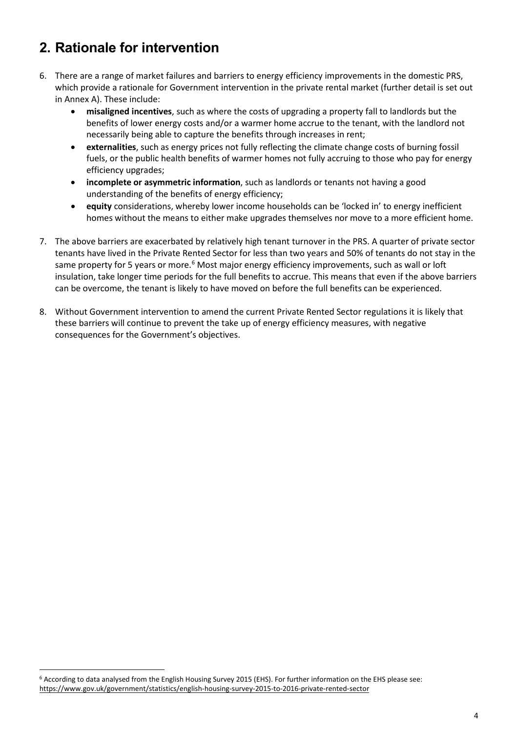## <span id="page-5-0"></span>**2. Rationale for intervention**

- 6. There are a range of market failures and barriers to energy efficiency improvements in the domestic PRS, which provide a rationale for Government intervention in the private rental market (further detail is set out in Annex A). These include:
	- **misaligned incentives**, such as where the costs of upgrading a property fall to landlords but the benefits of lower energy costs and/or a warmer home accrue to the tenant, with the landlord not necessarily being able to capture the benefits through increases in rent;
	- **externalities**, such as energy prices not fully reflecting the climate change costs of burning fossil fuels, or the public health benefits of warmer homes not fully accruing to those who pay for energy efficiency upgrades;
	- **incomplete or asymmetric information**, such as landlords or tenants not having a good understanding of the benefits of energy efficiency;
	- **equity** considerations, whereby lower income households can be 'locked in' to energy inefficient homes without the means to either make upgrades themselves nor move to a more efficient home.
- 7. The above barriers are exacerbated by relatively high tenant turnover in the PRS. A quarter of private sector tenants have lived in the Private Rented Sector for less than two years and 50% of tenants do not stay in the same property for 5 years or more.<sup>[6](#page-5-1)</sup> Most major energy efficiency improvements, such as wall or loft insulation, take longer time periods for the full benefits to accrue. This means that even if the above barriers can be overcome, the tenant is likely to have moved on before the full benefits can be experienced.
- 8. Without Government intervention to amend the current Private Rented Sector regulations it is likely that these barriers will continue to prevent the take up of energy efficiency measures, with negative consequences for the Government's objectives.

<span id="page-5-1"></span><sup>6</sup> According to data analysed from the English Housing Survey 2015 (EHS). For further information on the EHS please see: <https://www.gov.uk/government/statistics/english-housing-survey-2015-to-2016-private-rented-sector>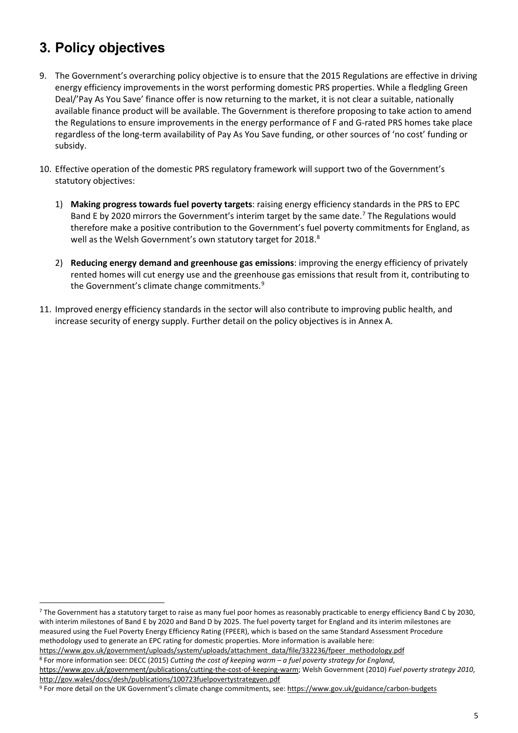## <span id="page-6-0"></span>**3. Policy objectives**

- 9. The Government's overarching policy objective is to ensure that the 2015 Regulations are effective in driving energy efficiency improvements in the worst performing domestic PRS properties. While a fledgling Green Deal/'Pay As You Save' finance offer is now returning to the market, it is not clear a suitable, nationally available finance product will be available. The Government is therefore proposing to take action to amend the Regulations to ensure improvements in the energy performance of F and G-rated PRS homes take place regardless of the long-term availability of Pay As You Save funding, or other sources of 'no cost' funding or subsidy.
- <span id="page-6-4"></span>10. Effective operation of the domestic PRS regulatory framework will support two of the Government's statutory objectives:
	- 1) **Making progress towards fuel poverty targets**: raising energy efficiency standards in the PRS to EPC Band E by 2020 mirrors the Government's interim target by the same date.<sup>[7](#page-6-1)</sup> The Regulations would therefore make a positive contribution to the Government's fuel poverty commitments for England, as well as the Welsh Government's own statutory target for 201[8](#page-6-2).<sup>8</sup>
	- 2) **Reducing energy demand and greenhouse gas emissions**: improving the energy efficiency of privately rented homes will cut energy use and the greenhouse gas emissions that result from it, contributing to the Government's climate change commitments. [9](#page-6-3)
- 11. Improved energy efficiency standards in the sector will also contribute to improving public health, and increase security of energy supply. Further detail on the policy objectives is in Annex A.

<span id="page-6-1"></span><sup>&</sup>lt;sup>7</sup> The Government has a statutory target to raise as many fuel poor homes as reasonably practicable to energy efficiency Band C by 2030, with interim milestones of Band E by 2020 and Band D by 2025. The fuel poverty target for England and its interim milestones are measured using the Fuel Poverty Energy Efficiency Rating (FPEER), which is based on the same Standard Assessment Procedure methodology used to generate an EPC rating for domestic properties. More information is available here:

<span id="page-6-2"></span>https://www.gov.uk/government/uploads/system/uploads/attachment\_data/file/332236/fpeer\_methodology.pdf<br><sup>8</sup> For more information see: DECC (2015) Cutting the cost of keeping warm – a fuel poverty strategy for England,

[https://www.gov.uk/government/publications/cutting-the-cost-of-keeping-warm;](https://www.gov.uk/government/publications/cutting-the-cost-of-keeping-warm) Welsh Government (2010) *Fuel poverty strategy 2010*, <http://gov.wales/docs/desh/publications/100723fuelpovertystrategyen.pdf>

<span id="page-6-3"></span><sup>9</sup> For more detail on the UK Government's climate change commitments, see[: https://www.gov.uk/guidance/carbon-budgets](https://www.gov.uk/guidance/carbon-budgets)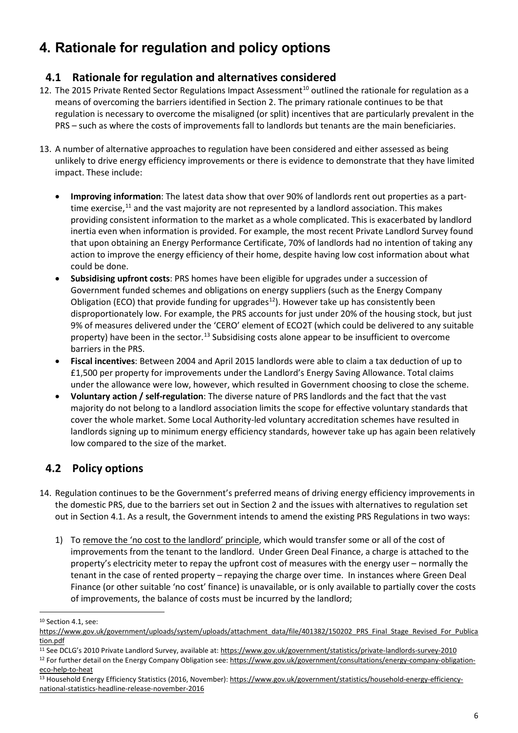# <span id="page-7-0"></span>**4. Rationale for regulation and policy options**

### **4.1 Rationale for regulation and alternatives considered**

- 12. The 2015 Private Rented Sector Regulations Impact Assessment<sup>[10](#page-7-1)</sup> outlined the rationale for regulation as a means of overcoming the barriers identified in Section 2. The primary rationale continues to be that regulation is necessary to overcome the misaligned (or split) incentives that are particularly prevalent in the PRS – such as where the costs of improvements fall to landlords but tenants are the main beneficiaries.
- 13. A number of alternative approaches to regulation have been considered and either assessed as being unlikely to drive energy efficiency improvements or there is evidence to demonstrate that they have limited impact. These include:
	- **Improving information**: The latest data show that over 90% of landlords rent out properties as a parttime exercise, $^{11}$  $^{11}$  $^{11}$  and the vast majority are not represented by a landlord association. This makes providing consistent information to the market as a whole complicated. This is exacerbated by landlord inertia even when information is provided. For example, the most recent Private Landlord Survey found that upon obtaining an Energy Performance Certificate, 70% of landlords had no intention of taking any action to improve the energy efficiency of their home, despite having low cost information about what could be done.
	- **Subsidising upfront costs**: PRS homes have been eligible for upgrades under a succession of Government funded schemes and obligations on energy suppliers (such as the Energy Company Obligation (ECO) that provide funding for upgrades<sup>[12](#page-7-3)</sup>). However take up has consistently been disproportionately low. For example, the PRS accounts for just under 20% of the housing stock, but just 9% of measures delivered under the 'CERO' element of ECO2T (which could be delivered to any suitable property) have been in the sector.<sup>[13](#page-7-4)</sup> Subsidising costs alone appear to be insufficient to overcome barriers in the PRS.
	- **Fiscal incentives**: Between 2004 and April 2015 landlords were able to claim a tax deduction of up to £1,500 per property for improvements under the Landlord's Energy Saving Allowance. Total claims under the allowance were low, however, which resulted in Government choosing to close the scheme.
	- **Voluntary action / self-regulation**: The diverse nature of PRS landlords and the fact that the vast majority do not belong to a landlord association limits the scope for effective voluntary standards that cover the whole market. Some Local Authority-led voluntary accreditation schemes have resulted in landlords signing up to minimum energy efficiency standards, however take up has again been relatively low compared to the size of the market.

## **4.2 Policy options**

- 14. Regulation continues to be the Government's preferred means of driving energy efficiency improvements in the domestic PRS, due to the barriers set out in Section 2 and the issues with alternatives to regulation set out in Section 4.1. As a result, the Government intends to amend the existing PRS Regulations in two ways:
	- 1) To remove the 'no cost to the landlord' principle, which would transfer some or all of the cost of improvements from the tenant to the landlord. Under Green Deal Finance, a charge is attached to the property's electricity meter to repay the upfront cost of measures with the energy user – normally the tenant in the case of rented property – repaying the charge over time. In instances where Green Deal Finance (or other suitable 'no cost' finance) is unavailable, or is only available to partially cover the costs of improvements, the balance of costs must be incurred by the landlord;

<sup>-</sup><sup>10</sup> Section 4.1, see:

<span id="page-7-1"></span>[https://www.gov.uk/government/uploads/system/uploads/attachment\\_data/file/401382/150202\\_PRS\\_Final\\_Stage\\_Revised\\_For\\_Publica](https://www.gov.uk/government/uploads/system/uploads/attachment_data/file/401382/150202_PRS_Final_Stage_Revised_For_Publication.pdf) [tion.pdf](https://www.gov.uk/government/uploads/system/uploads/attachment_data/file/401382/150202_PRS_Final_Stage_Revised_For_Publication.pdf)

<span id="page-7-2"></span><sup>11</sup> See DCLG's 2010 Private Landlord Survey, available at: <https://www.gov.uk/government/statistics/private-landlords-survey-2010>

<span id="page-7-3"></span><sup>&</sup>lt;sup>12</sup> For further detail on the Energy Company Obligation see: [https://www.gov.uk/government/consultations/energy-company-obligation](https://www.gov.uk/government/consultations/energy-company-obligation-eco-help-to-heat)[eco-help-to-heat](https://www.gov.uk/government/consultations/energy-company-obligation-eco-help-to-heat)

<span id="page-7-4"></span><sup>13</sup> Household Energy Efficiency Statistics (2016, November)[: https://www.gov.uk/government/statistics/household-energy-efficiency](https://www.gov.uk/government/statistics/household-energy-efficiency-national-statistics-headline-release-november-2016)[national-statistics-headline-release-november-2016](https://www.gov.uk/government/statistics/household-energy-efficiency-national-statistics-headline-release-november-2016)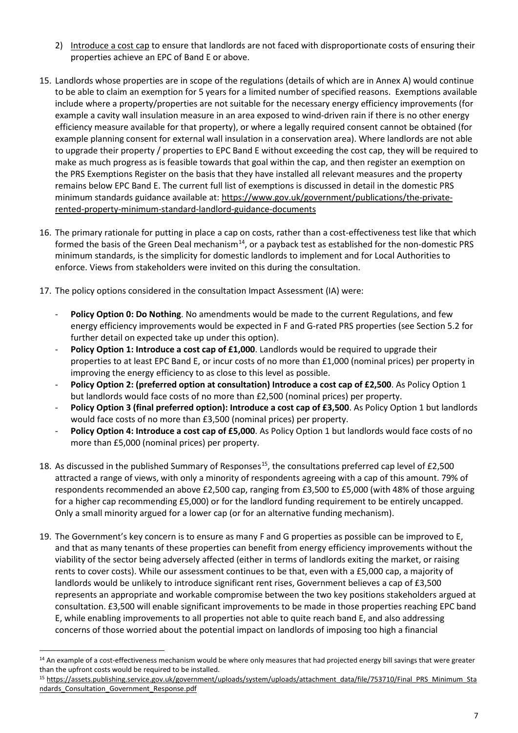- 2) Introduce a cost cap to ensure that landlords are not faced with disproportionate costs of ensuring their properties achieve an EPC of Band E or above.
- 15. Landlords whose properties are in scope of the regulations (details of which are in Annex A) would continue to be able to claim an exemption for 5 years for a limited number of specified reasons. Exemptions available include where a property/properties are not suitable for the necessary energy efficiency improvements (for example a cavity wall insulation measure in an area exposed to wind-driven rain if there is no other energy efficiency measure available for that property), or where a legally required consent cannot be obtained (for example planning consent for external wall insulation in a conservation area). Where landlords are not able to upgrade their property / properties to EPC Band E without exceeding the cost cap, they will be required to make as much progress as is feasible towards that goal within the cap, and then register an exemption on the PRS Exemptions Register on the basis that they have installed all relevant measures and the property remains below EPC Band E. The current full list of exemptions is discussed in detail in the domestic PRS minimum standards guidance available at[: https://www.gov.uk/government/publications/the-private](https://www.gov.uk/government/publications/the-private-rented-property-minimum-standard-landlord-guidance-documents)[rented-property-minimum-standard-landlord-guidance-documents](https://www.gov.uk/government/publications/the-private-rented-property-minimum-standard-landlord-guidance-documents)
- 16. The primary rationale for putting in place a cap on costs, rather than a cost-effectiveness test like that which formed the basis of the Green Deal mechanism<sup>[14](#page-8-0)</sup>, or a payback test as established for the non-domestic PRS minimum standards, is the simplicity for domestic landlords to implement and for Local Authorities to enforce. Views from stakeholders were invited on this during the consultation.
- 17. The policy options considered in the consultation Impact Assessment (IA) were:
	- Policy Option 0: Do Nothing. No amendments would be made to the current Regulations, and few energy efficiency improvements would be expected in F and G-rated PRS properties (see Section 5.2 for further detail on expected take up under this option).
	- **Policy Option 1: Introduce a cost cap of £1,000**. Landlords would be required to upgrade their properties to at least EPC Band E, or incur costs of no more than £1,000 (nominal prices) per property in improving the energy efficiency to as close to this level as possible.
	- Policy Option 2: (preferred option at consultation) Introduce a cost cap of £2,500. As Policy Option 1 but landlords would face costs of no more than £2,500 (nominal prices) per property.
	- Policy Option 3 (final preferred option): Introduce a cost cap of £3,500. As Policy Option 1 but landlords would face costs of no more than £3,500 (nominal prices) per property.
	- Policy Option 4: Introduce a cost cap of £5,000. As Policy Option 1 but landlords would face costs of no more than £5,000 (nominal prices) per property.
- 18. As discussed in the published Summary of Responses<sup>15</sup>, the consultations preferred cap level of £2,500 attracted a range of views, with only a minority of respondents agreeing with a cap of this amount. 79% of respondents recommended an above £2,500 cap, ranging from £3,500 to £5,000 (with 48% of those arguing for a higher cap recommending £5,000) or for the landlord funding requirement to be entirely uncapped. Only a small minority argued for a lower cap (or for an alternative funding mechanism).
- 19. The Government's key concern is to ensure as many F and G properties as possible can be improved to E, and that as many tenants of these properties can benefit from energy efficiency improvements without the viability of the sector being adversely affected (either in terms of landlords exiting the market, or raising rents to cover costs). While our assessment continues to be that, even with a £5,000 cap, a majority of landlords would be unlikely to introduce significant rent rises, Government believes a cap of £3,500 represents an appropriate and workable compromise between the two key positions stakeholders argued at consultation. £3,500 will enable significant improvements to be made in those properties reaching EPC band E, while enabling improvements to all properties not able to quite reach band E, and also addressing concerns of those worried about the potential impact on landlords of imposing too high a financial

<span id="page-8-0"></span><sup>&</sup>lt;u>.</u> <sup>14</sup> An example of a cost-effectiveness mechanism would be where only measures that had projected energy bill savings that were greater than the upfront costs would be required to be installed.

<span id="page-8-1"></span><sup>15</sup> https://assets.publishing.service.gov.uk/government/uploads/system/uploads/attachment\_data/file/753710/Final\_PRS\_Minimum\_Sta [ndards\\_Consultation\\_Government\\_Response.pdf](https://assets.publishing.service.gov.uk/government/uploads/system/uploads/attachment_data/file/753710/Final_PRS_Minimum_Standards_Consultation_Government_Response.pdf)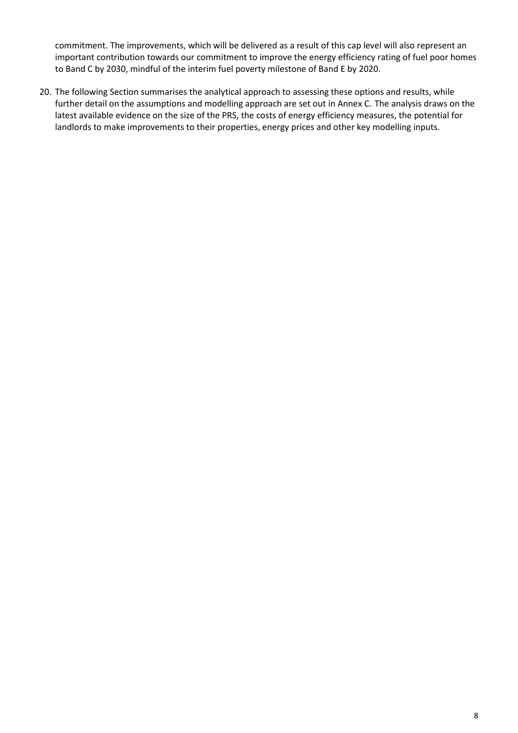commitment. The improvements, which will be delivered as a result of this cap level will also represent an important contribution towards our commitment to improve the energy efficiency rating of fuel poor homes to Band C by 2030, mindful of the interim fuel poverty milestone of Band E by 2020.

20. The following Section summarises the analytical approach to assessing these options and results, while further detail on the assumptions and modelling approach are set out in Annex C. The analysis draws on the latest available evidence on the size of the PRS, the costs of energy efficiency measures, the potential for landlords to make improvements to their properties, energy prices and other key modelling inputs.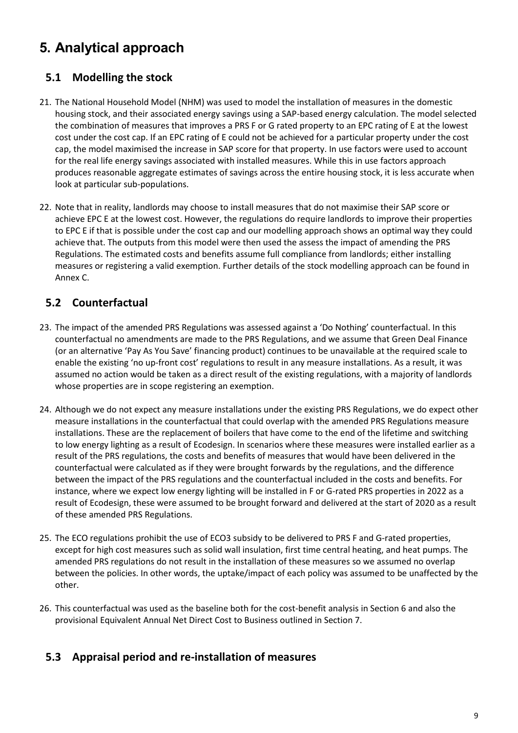# <span id="page-10-0"></span>**5. Analytical approach**

## **5.1 Modelling the stock**

- 21. The National Household Model (NHM) was used to model the installation of measures in the domestic housing stock, and their associated energy savings using a SAP-based energy calculation. The model selected the combination of measures that improves a PRS F or G rated property to an EPC rating of E at the lowest cost under the cost cap. If an EPC rating of E could not be achieved for a particular property under the cost cap, the model maximised the increase in SAP score for that property. In use factors were used to account for the real life energy savings associated with installed measures. While this in use factors approach produces reasonable aggregate estimates of savings across the entire housing stock, it is less accurate when look at particular sub-populations.
- 22. Note that in reality, landlords may choose to install measures that do not maximise their SAP score or achieve EPC E at the lowest cost. However, the regulations do require landlords to improve their properties to EPC E if that is possible under the cost cap and our modelling approach shows an optimal way they could achieve that. The outputs from this model were then used the assess the impact of amending the PRS Regulations. The estimated costs and benefits assume full compliance from landlords; either installing measures or registering a valid exemption. Further details of the stock modelling approach can be found in [Annex C](#page-35-1).

## **5.2 Counterfactual**

- 23. The impact of the amended PRS Regulations was assessed against a 'Do Nothing' counterfactual. In this counterfactual no amendments are made to the PRS Regulations, and we assume that Green Deal Finance (or an alternative 'Pay As You Save' financing product) continues to be unavailable at the required scale to enable the existing 'no up-front cost' regulations to result in any measure installations. As a result, it was assumed no action would be taken as a direct result of the existing regulations, with a majority of landlords whose properties are in scope registering an exemption.
- 24. Although we do not expect any measure installations under the existing PRS Regulations, we do expect other measure installations in the counterfactual that could overlap with the amended PRS Regulations measure installations. These are the replacement of boilers that have come to the end of the lifetime and switching to low energy lighting as a result of Ecodesign. In scenarios where these measures were installed earlier as a result of the PRS regulations, the costs and benefits of measures that would have been delivered in the counterfactual were calculated as if they were brought forwards by the regulations, and the difference between the impact of the PRS regulations and the counterfactual included in the costs and benefits. For instance, where we expect low energy lighting will be installed in F or G-rated PRS properties in 2022 as a result of Ecodesign, these were assumed to be brought forward and delivered at the start of 2020 as a result of these amended PRS Regulations.
- 25. The ECO regulations prohibit the use of ECO3 subsidy to be delivered to PRS F and G-rated properties, except for high cost measures such as solid wall insulation, first time central heating, and heat pumps. The amended PRS regulations do not result in the installation of these measures so we assumed no overlap between the policies. In other words, the uptake/impact of each policy was assumed to be unaffected by the other.
- 26. This counterfactual was used as the baseline both for the cost-benefit analysis in Section [6](#page-13-0) and also the provisional Equivalent Annual Net Direct Cost to Business outlined in Section [7.](#page-21-0)

## **5.3 Appraisal period and re-installation of measures**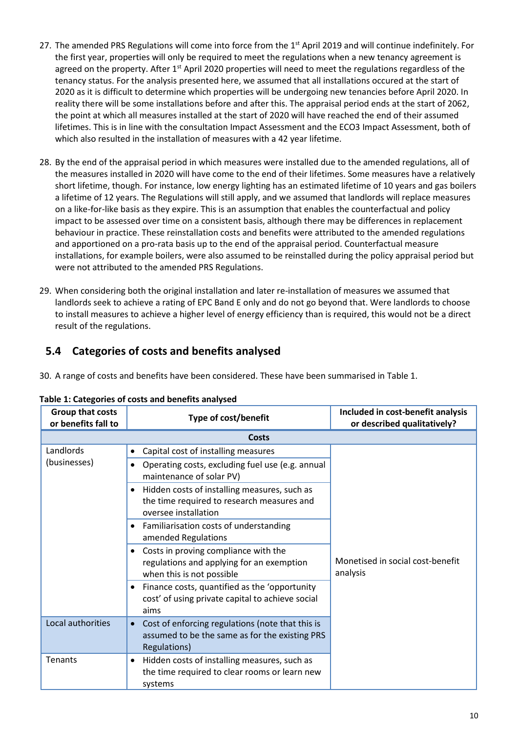- 27. The amended PRS Regulations will come into force from the 1<sup>st</sup> April 2019 and will continue indefinitely. For the first year, properties will only be required to meet the regulations when a new tenancy agreement is agreed on the property. After  $1<sup>st</sup>$  April 2020 properties will need to meet the regulations regardless of the tenancy status. For the analysis presented here, we assumed that all installations occured at the start of 2020 as it is difficult to determine which properties will be undergoing new tenancies before April 2020. In reality there will be some installations before and after this. The appraisal period ends at the start of 2062, the point at which all measures installed at the start of 2020 will have reached the end of their assumed lifetimes. This is in line with the consultation Impact Assessment and the ECO3 Impact Assessment, both of which also resulted in the installation of measures with a 42 year lifetime.
- 28. By the end of the appraisal period in which measures were installed due to the amended regulations, all of the measures installed in 2020 will have come to the end of their lifetimes. Some measures have a relatively short lifetime, though. For instance, low energy lighting has an estimated lifetime of 10 years and gas boilers a lifetime of 12 years. The Regulations will still apply, and we assumed that landlords will replace measures on a like-for-like basis as they expire. This is an assumption that enables the counterfactual and policy impact to be assessed over time on a consistent basis, although there may be differences in replacement behaviour in practice. These reinstallation costs and benefits were attributed to the amended regulations and apportioned on a pro-rata basis up to the end of the appraisal period. Counterfactual measure installations, for example boilers, were also assumed to be reinstalled during the policy appraisal period but were not attributed to the amended PRS Regulations.
- 29. When considering both the original installation and later re-installation of measures we assumed that landlords seek to achieve a rating of EPC Band E only and do not go beyond that. Were landlords to choose to install measures to achieve a higher level of energy efficiency than is required, this would not be a direct result of the regulations.

## **5.4 Categories of costs and benefits analysed**

30. A range of costs and benefits have been considered. These have been summarised in [Table 1.](#page-11-0)

| Group that costs<br>or benefits fall to | <b>Type of cost/benefit</b>                                                                                                     | Included in cost-benefit analysis<br>or described qualitatively? |
|-----------------------------------------|---------------------------------------------------------------------------------------------------------------------------------|------------------------------------------------------------------|
|                                         | Costs                                                                                                                           |                                                                  |
| Landlords                               | Capital cost of installing measures<br>$\bullet$                                                                                |                                                                  |
| (businesses)                            | Operating costs, excluding fuel use (e.g. annual<br>maintenance of solar PV)                                                    |                                                                  |
|                                         | Hidden costs of installing measures, such as<br>$\bullet$<br>the time required to research measures and<br>oversee installation |                                                                  |
|                                         | Familiarisation costs of understanding<br>٠<br>amended Regulations                                                              |                                                                  |
|                                         | Costs in proving compliance with the<br>$\bullet$<br>regulations and applying for an exemption<br>when this is not possible     | Monetised in social cost-benefit<br>analysis                     |
|                                         | Finance costs, quantified as the 'opportunity<br>$\bullet$<br>cost' of using private capital to achieve social<br>aims          |                                                                  |
| Local authorities                       | Cost of enforcing regulations (note that this is<br>$\bullet$<br>assumed to be the same as for the existing PRS<br>Regulations) |                                                                  |
| Tenants                                 | Hidden costs of installing measures, such as<br>$\bullet$<br>the time required to clear rooms or learn new<br>systems           |                                                                  |

#### <span id="page-11-0"></span>**Table 1: Categories of costs and benefits analysed**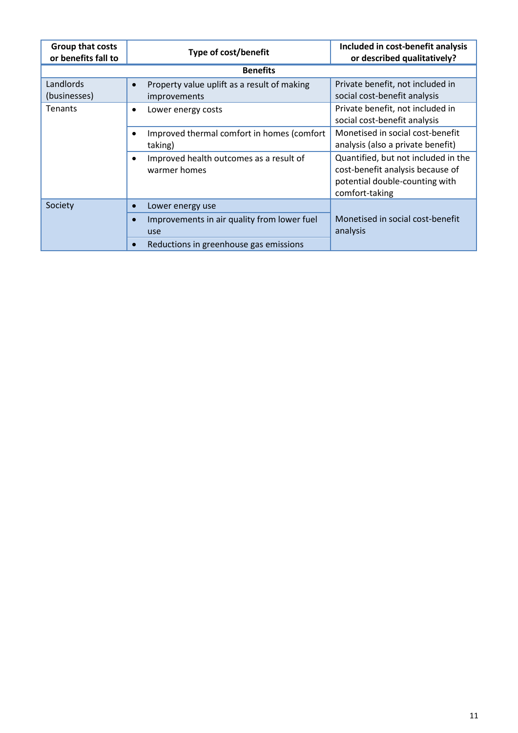| <b>Group that costs</b><br>or benefits fall to | <b>Type of cost/benefit</b>                                                     | Included in cost-benefit analysis<br>or described qualitatively?                                                            |
|------------------------------------------------|---------------------------------------------------------------------------------|-----------------------------------------------------------------------------------------------------------------------------|
|                                                | <b>Benefits</b>                                                                 |                                                                                                                             |
| Landlords<br>(businesses)                      | Property value uplift as a result of making<br>$\bullet$<br><i>improvements</i> | Private benefit, not included in<br>social cost-benefit analysis                                                            |
| Tenants                                        | Lower energy costs<br>$\bullet$                                                 | Private benefit, not included in<br>social cost-benefit analysis                                                            |
|                                                | Improved thermal comfort in homes (comfort<br>taking)                           | Monetised in social cost-benefit<br>analysis (also a private benefit)                                                       |
|                                                | Improved health outcomes as a result of<br>warmer homes                         | Quantified, but not included in the<br>cost-benefit analysis because of<br>potential double-counting with<br>comfort-taking |
| Society                                        | Lower energy use                                                                |                                                                                                                             |
|                                                | Improvements in air quality from lower fuel<br>$\bullet$<br>use                 | Monetised in social cost-benefit<br>analysis                                                                                |
|                                                | Reductions in greenhouse gas emissions                                          |                                                                                                                             |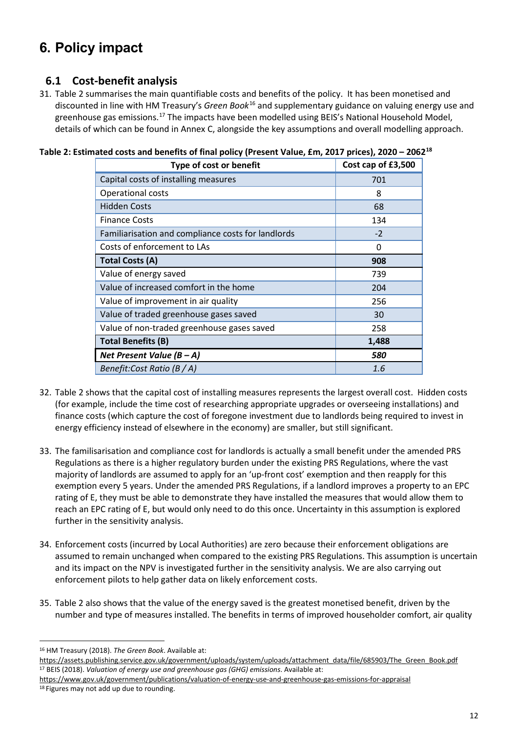# <span id="page-13-0"></span>**6. Policy impact**

### **6.1 Cost-benefit analysis**

31. [Table 2](#page-13-1) summarises the main quantifiable costs and benefits of the policy. It has been monetised and discounted in line with HM Treasury's *Green Book*[16](#page-13-2) and supplementary guidance on valuing energy use and greenhouse gas emissions.<sup>[17](#page-13-3)</sup> The impacts have been modelled using BEIS's National Household Model, details of which can be found in [Annex C](#page-35-1), alongside the key assumptions and overall modelling approach.

| $m$ atca costs and benents of miar policy (Ficsent value, Em, 2017 phees), 2020 - 2007 |                    |  |  |
|----------------------------------------------------------------------------------------|--------------------|--|--|
| Type of cost or benefit                                                                | Cost cap of £3,500 |  |  |
| Capital costs of installing measures                                                   | 701                |  |  |
| Operational costs                                                                      | 8                  |  |  |
| <b>Hidden Costs</b>                                                                    | 68                 |  |  |
| <b>Finance Costs</b>                                                                   | 134                |  |  |
| Familiarisation and compliance costs for landlords                                     | $-2$               |  |  |
| Costs of enforcement to LAs                                                            | 0                  |  |  |
| <b>Total Costs (A)</b>                                                                 | 908                |  |  |
| Value of energy saved                                                                  | 739                |  |  |
| Value of increased comfort in the home                                                 | 204                |  |  |
| Value of improvement in air quality                                                    | 256                |  |  |
| Value of traded greenhouse gases saved                                                 | 30                 |  |  |
| Value of non-traded greenhouse gases saved                                             | 258                |  |  |
| <b>Total Benefits (B)</b>                                                              | 1,488              |  |  |
| Net Present Value $(B - A)$                                                            | 580                |  |  |
| Benefit:Cost Ratio (B $/A$ )                                                           | 1.6                |  |  |

<span id="page-13-1"></span>

- 32. [Table 2](#page-13-1) shows that the capital cost of installing measures represents the largest overall cost. Hidden costs (for example, include the time cost of researching appropriate upgrades or overseeing installations) and finance costs (which capture the cost of foregone investment due to landlords being required to invest in energy efficiency instead of elsewhere in the economy) are smaller, but still significant.
- 33. The familisarisation and compliance cost for landlords is actually a small benefit under the amended PRS Regulations as there is a higher regulatory burden under the existing PRS Regulations, where the vast majority of landlords are assumed to apply for an 'up-front cost' exemption and then reapply for this exemption every 5 years. Under the amended PRS Regulations, if a landlord improves a property to an EPC rating of E, they must be able to demonstrate they have installed the measures that would allow them to reach an EPC rating of E, but would only need to do this once. Uncertainty in this assumption is explored further in the sensitivity analysis.
- 34. Enforcement costs (incurred by Local Authorities) are zero because their enforcement obligations are assumed to remain unchanged when compared to the existing PRS Regulations. This assumption is uncertain and its impact on the NPV is investigated further in the sensitivity analysis. We are also carrying out enforcement pilots to help gather data on likely enforcement costs.
- 35. [Table 2](#page-13-1) also shows that the value of the energy saved is the greatest monetised benefit, driven by the number and type of measures installed. The benefits in terms of improved householder comfort, air quality

<sup>-</sup><sup>16</sup> HM Treasury (2018). *The Green Book*. Available at:

<span id="page-13-3"></span><span id="page-13-2"></span>[https://assets.publishing.service.gov.uk/government/uploads/system/uploads/attachment\\_data/file/685903/The\\_Green\\_Book.pdf](https://assets.publishing.service.gov.uk/government/uploads/system/uploads/attachment_data/file/685903/The_Green_Book.pdf) <sup>17</sup> BEIS (2018). *Valuation of energy use and greenhouse gas (GHG) emissions*. Available at:

<span id="page-13-4"></span><https://www.gov.uk/government/publications/valuation-of-energy-use-and-greenhouse-gas-emissions-for-appraisal> 18 Figures may not add up due to rounding.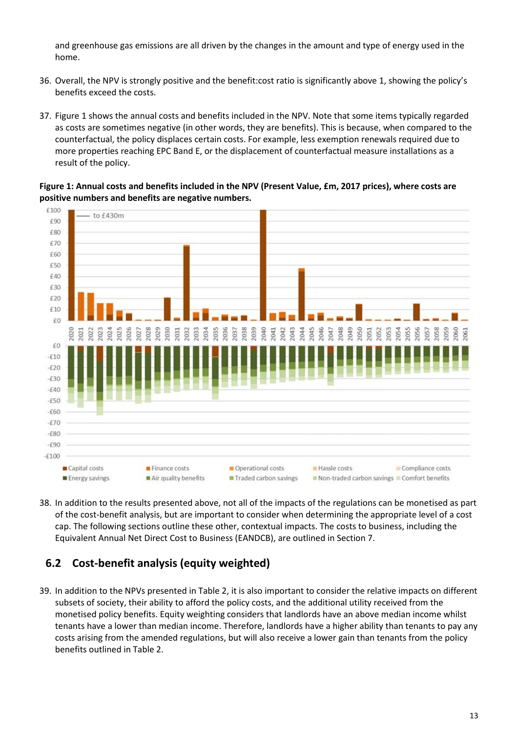and greenhouse gas emissions are all driven by the changes in the amount and type of energy used in the home.

- 36. Overall, the NPV is strongly positive and the benefit:cost ratio is significantly above 1, showing the policy's benefits exceed the costs.
- 37. [Figure 1](#page-14-0) shows the annual costs and benefits included in the NPV. Note that some items typically regarded as costs are sometimes negative (in other words, they are benefits). This is because, when compared to the counterfactual, the policy displaces certain costs. For example, less exemption renewals required due to more properties reaching EPC Band E, or the displacement of counterfactual measure installations as a result of the policy.

<span id="page-14-0"></span>**Figure 1: Annual costs and benefits included in the NPV (Present Value, £m, 2017 prices), where costs are positive numbers and benefits are negative numbers.**



38. In addition to the results presented above, not all of the impacts of the regulations can be monetised as part of the cost-benefit analysis, but are important to consider when determining the appropriate level of a cost cap. The following sections outline these other, contextual impacts. The costs to business, including the Equivalent Annual Net Direct Cost to Business (EANDCB), are outlined in Section [7.](#page-21-0)

## **6.2 Cost-benefit analysis (equity weighted)**

39. In addition to the NPVs presented in [Table 2,](#page-13-1) it is also important to consider the relative impacts on different subsets of society, their ability to afford the policy costs, and the additional utility received from the monetised policy benefits. Equity weighting considers that landlords have an above median income whilst tenants have a lower than median income. Therefore, landlords have a higher ability than tenants to pay any costs arising from the amended regulations, but will also receive a lower gain than tenants from the policy benefits outlined in [Table 2.](#page-13-1)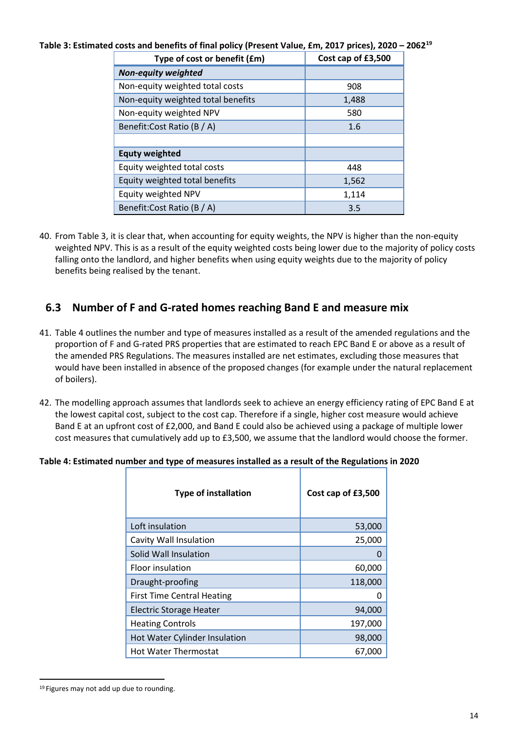<span id="page-15-0"></span>**Table 3: Estimated costs and benefits of final policy (Present Value, £m, 2017 prices), 2020 – 2062[19](#page-15-2)**

| Type of cost or benefit (£m)       | Cost cap of £3,500 |
|------------------------------------|--------------------|
| <b>Non-equity weighted</b>         |                    |
| Non-equity weighted total costs    | 908                |
| Non-equity weighted total benefits | 1,488              |
| Non-equity weighted NPV            | 580                |
| Benefit: Cost Ratio (B / A)        | 1.6                |
|                                    |                    |
| <b>Equty weighted</b>              |                    |
| Equity weighted total costs        | 448                |
| Equity weighted total benefits     | 1,562              |
| Equity weighted NPV                | 1,114              |
| Benefit: Cost Ratio (B / A)        | 3.5                |

40. From [Table 3,](#page-15-0) it is clear that, when accounting for equity weights, the NPV is higher than the non-equity weighted NPV. This is as a result of the equity weighted costs being lower due to the majority of policy costs falling onto the landlord, and higher benefits when using equity weights due to the majority of policy benefits being realised by the tenant.

## **6.3 Number of F and G-rated homes reaching Band E and measure mix**

- 41. [Table 4](#page-15-1) outlines the number and type of measures installed as a result of the amended regulations and the proportion of F and G-rated PRS properties that are estimated to reach EPC Band E or above as a result of the amended PRS Regulations. The measures installed are net estimates, excluding those measures that would have been installed in absence of the proposed changes (for example under the natural replacement of boilers).
- 42. The modelling approach assumes that landlords seek to achieve an energy efficiency rating of EPC Band E at the lowest capital cost, subject to the cost cap. Therefore if a single, higher cost measure would achieve Band E at an upfront cost of £2,000, and Band E could also be achieved using a package of multiple lower cost measures that cumulatively add up to £3,500, we assume that the landlord would choose the former.

#### <span id="page-15-1"></span>**Table 4: Estimated number and type of measures installed as a result of the Regulations in 2020**

| <b>Type of installation</b>       | Cost cap of £3,500 |
|-----------------------------------|--------------------|
| Loft insulation                   | 53,000             |
| Cavity Wall Insulation            | 25,000             |
| Solid Wall Insulation             |                    |
| Floor insulation                  | 60,000             |
| Draught-proofing                  | 118,000            |
| <b>First Time Central Heating</b> | 0                  |
| <b>Electric Storage Heater</b>    | 94,000             |
| <b>Heating Controls</b>           | 197,000            |
| Hot Water Cylinder Insulation     | 98,000             |
| <b>Hot Water Thermostat</b>       | 67,000             |

<span id="page-15-2"></span><sup>&</sup>lt;sup>19</sup> Figures may not add up due to rounding.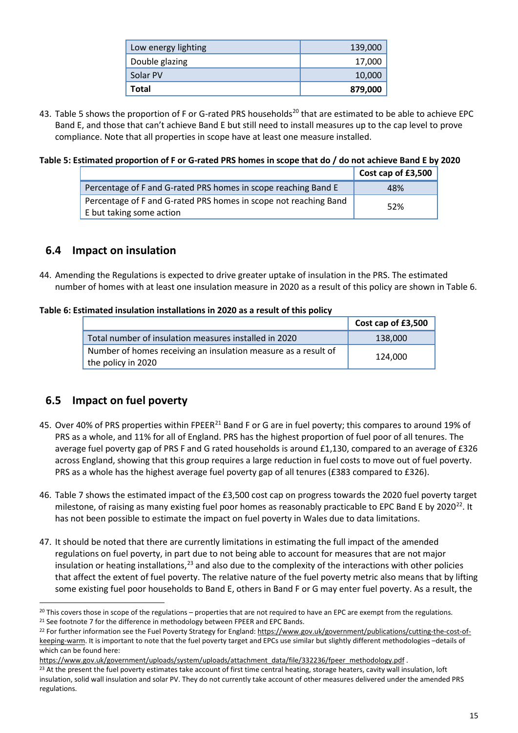| Low energy lighting | 139,000 |
|---------------------|---------|
| Double glazing      | 17,000  |
| Solar PV            | 10,000  |
| Total               | 879,000 |

43. [Table 5](#page-16-0) shows the proportion of F or G-rated PRS households<sup>[20](#page-16-2)</sup> that are estimated to be able to achieve EPC Band E, and those that can't achieve Band E but still need to install measures up to the cap level to prove compliance. Note that all properties in scope have at least one measure installed.

#### <span id="page-16-0"></span>**Table 5: Estimated proportion of F or G-rated PRS homes in scope that do / do not achieve Band E by 2020**

|                                                                                              | Cost cap of £3,500 |
|----------------------------------------------------------------------------------------------|--------------------|
| Percentage of F and G-rated PRS homes in scope reaching Band E                               | 48%                |
| Percentage of F and G-rated PRS homes in scope not reaching Band<br>E but taking some action | 52%                |

## **6.4 Impact on insulation**

44. Amending the Regulations is expected to drive greater uptake of insulation in the PRS. The estimated number of homes with at least one insulation measure in 2020 as a result of this policy are shown in [Table 6.](#page-16-1)

#### <span id="page-16-1"></span>**Table 6: Estimated insulation installations in 2020 as a result of this policy**

|                                                                                      | Cost cap of £3,500 |
|--------------------------------------------------------------------------------------|--------------------|
| Total number of insulation measures installed in 2020                                | 138,000            |
| Number of homes receiving an insulation measure as a result of<br>the policy in 2020 | 124.000            |

## **6.5 Impact on fuel poverty**

- 45. Over 40% of PRS properties within FPEER<sup>[21](#page-16-3)</sup> Band F or G are in fuel poverty; this compares to around 19% of PRS as a whole, and 11% for all of England. PRS has the highest proportion of fuel poor of all tenures. The average fuel poverty gap of PRS F and G rated households is around £1,130, compared to an average of £326 across England, showing that this group requires a large reduction in fuel costs to move out of fuel poverty. PRS as a whole has the highest average fuel poverty gap of all tenures (£383 compared to £326).
- 46. [Table 7](#page-17-0) shows the estimated impact of the £3,500 cost cap on progress towards the 2020 fuel poverty target milestone, of raising as many existing fuel poor homes as reasonably practicable to EPC Band E by 2020<sup>22</sup>. It has not been possible to estimate the impact on fuel poverty in Wales due to data limitations.
- 47. It should be noted that there are currently limitations in estimating the full impact of the amended regulations on fuel poverty, in part due to not being able to account for measures that are not major insulation or heating installations,<sup>[23](#page-16-5)</sup> and also due to the complexity of the interactions with other policies that affect the extent of fuel poverty. The relative nature of the fuel poverty metric also means that by lifting some existing fuel poor households to Band E, others in Band F or G may enter fuel poverty. As a result, the

<span id="page-16-2"></span><sup>-</sup> $20$  This covers those in scope of the regulations – properties that are not required to have an EPC are exempt from the regulations. <sup>21</sup> See footnote [7](#page-6-4) for the difference in methodology between FPEER and EPC Bands.

<span id="page-16-4"></span><span id="page-16-3"></span><sup>&</sup>lt;sup>22</sup> For further information see the Fuel Poverty Strategy for England[: https://www.gov.uk/government/publications/cutting-the-cost-of](https://www.gov.uk/government/publications/cutting-the-cost-of-keeping-warm)[keeping-warm](https://www.gov.uk/government/publications/cutting-the-cost-of-keeping-warm). It is important to note that the fuel poverty target and EPCs use similar but slightly different methodologies –details of which can be found here:<br>https://www.gov.uk/government/uploads/system/uploads/attachment\_data/file/332236/fpeer\_methodology.pdf.

<span id="page-16-5"></span><sup>&</sup>lt;sup>23</sup> At the present the fuel poverty estimates take account of first time central heating, storage heaters, cavity wall insulation, loft insulation, solid wall insulation and solar PV. They do not currently take account of other measures delivered under the amended PRS regulations.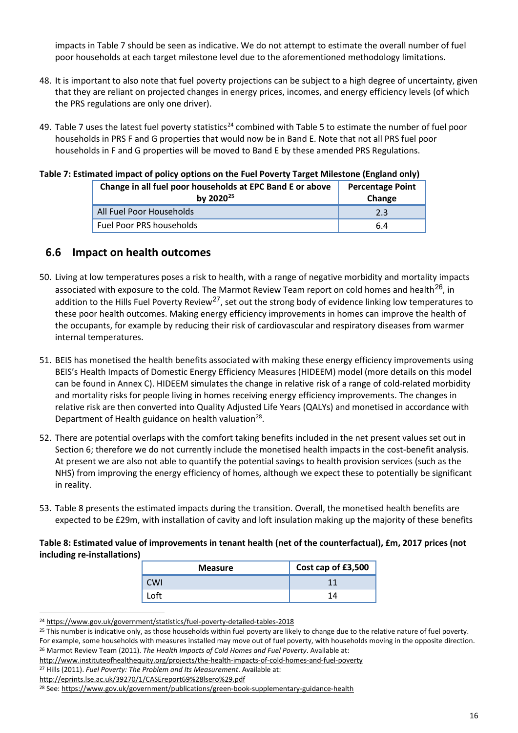impacts i[n Table 7](#page-17-0) should be seen as indicative. We do not attempt to estimate the overall number of fuel poor households at each target milestone level due to the aforementioned methodology limitations.

- 48. It is important to also note that fuel poverty projections can be subject to a high degree of uncertainty, given that they are reliant on projected changes in energy prices, incomes, and energy efficiency levels (of which the PRS regulations are only one driver).
- 49. Table 7 uses the latest fuel poverty statistics<sup>[24](#page-17-2)</sup> combined with Table 5 to estimate the number of fuel poor households in PRS F and G properties that would now be in Band E. Note that not all PRS fuel poor households in F and G properties will be moved to Band E by these amended PRS Regulations.

<span id="page-17-0"></span>

| Table 7: Estimated impact of policy options on the Fuel Poverty Target Milestone (England only) |  |  |  |
|-------------------------------------------------------------------------------------------------|--|--|--|
|                                                                                                 |  |  |  |

| Change in all fuel poor households at EPC Band E or above<br>by $2020^{25}$ | <b>Percentage Point</b><br>Change |
|-----------------------------------------------------------------------------|-----------------------------------|
| All Fuel Poor Households                                                    | 2.3                               |
| Fuel Poor PRS households                                                    | 6.4                               |

### <span id="page-17-7"></span>**6.6 Impact on health outcomes**

- 50. Living at low temperatures poses a risk to health, with a range of negative morbidity and mortality impacts associated with exposure to the cold. The Marmot Review Team report on cold homes and health<sup>[26](#page-17-4)</sup>, in addition to the Hills Fuel Poverty Review<sup>[27](#page-17-5)</sup>, set out the strong body of evidence linking low temperatures to these poor health outcomes. Making energy efficiency improvements in homes can improve the health of the occupants, for example by reducing their risk of cardiovascular and respiratory diseases from warmer internal temperatures.
- 51. BEIS has monetised the health benefits associated with making these energy efficiency improvements using BEIS's Health Impacts of Domestic Energy Efficiency Measures (HIDEEM) model (more details on this model can be found in Annex C). HIDEEM simulates the change in relative risk of a range of cold-related morbidity and mortality risks for people living in homes receiving energy efficiency improvements. The changes in relative risk are then converted into Quality Adjusted Life Years (QALYs) and monetised in accordance with Department of Health guidance on health valuation<sup>[28](#page-17-6)</sup>.
- 52. There are potential overlaps with the comfort taking benefits included in the net present values set out in Section [6;](#page-13-0) therefore we do not currently include the monetised health impacts in the cost-benefit analysis. At present we are also not able to quantify the potential savings to health provision services (such as the NHS) from improving the energy efficiency of homes, although we expect these to potentially be significant in reality.
- 53. [Table 8](#page-17-1) presents the estimated impacts during the transition. Overall, the monetised health benefits are expected to be £29m, with installation of cavity and loft insulation making up the majority of these benefits

<span id="page-17-1"></span>**Table 8: Estimated value of improvements in tenant health (net of the counterfactual), £m, 2017 prices (not including re-installations)**

| <b>Measure</b> | Cost cap of £3,500 |
|----------------|--------------------|
| WI             |                    |
| oft            |                    |

<span id="page-17-2"></span><sup>24</sup> <https://www.gov.uk/government/statistics/fuel-poverty-detailed-tables-2018>

<span id="page-17-3"></span><sup>&</sup>lt;sup>25</sup> This number is indicative only, as those households within fuel poverty are likely to change due to the relative nature of fuel poverty. For example, some households with measures installed may move out of fuel poverty, with households moving in the opposite direction.

<span id="page-17-4"></span><sup>26</sup> Marmot Review Team (2011). *The Health Impacts of Cold Homes and Fuel Poverty*. Available at: <http://www.instituteofhealthequity.org/projects/the-health-impacts-of-cold-homes-and-fuel-poverty>

<span id="page-17-5"></span><sup>27</sup> Hills (2011). *Fuel Poverty: The Problem and Its Measurement*. Available at:

<http://eprints.lse.ac.uk/39270/1/CASEreport69%28lsero%29.pdf>

<span id="page-17-6"></span><sup>&</sup>lt;sup>28</sup> See:<https://www.gov.uk/government/publications/green-book-supplementary-guidance-health>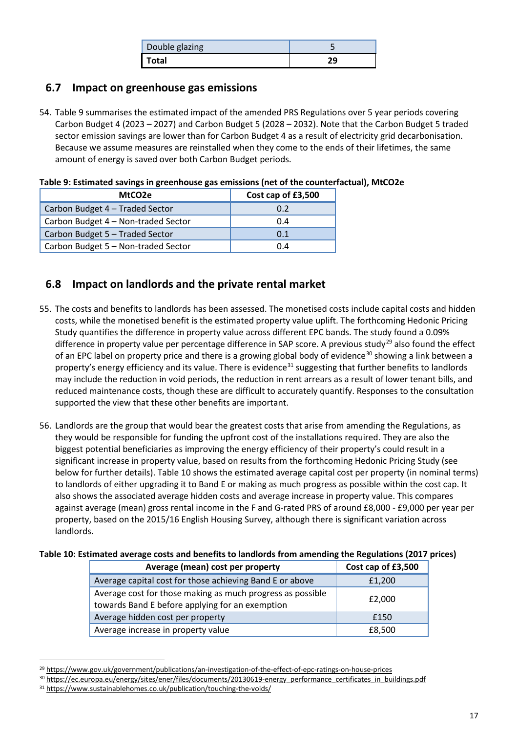| Double glazing |  |
|----------------|--|
| Total          |  |

### **6.7 Impact on greenhouse gas emissions**

54. [Table 9](#page-18-0) summarises the estimated impact of the amended PRS Regulations over 5 year periods covering Carbon Budget 4 (2023 – 2027) and Carbon Budget 5 (2028 – 2032). Note that the Carbon Budget 5 traded sector emission savings are lower than for Carbon Budget 4 as a result of electricity grid decarbonisation. Because we assume measures are reinstalled when they come to the ends of their lifetimes, the same amount of energy is saved over both Carbon Budget periods.

<span id="page-18-0"></span>**Table 9: Estimated savings in greenhouse gas emissions (net of the counterfactual), MtCO2e**

| MtCO2e                              | Cost cap of £3,500 |
|-------------------------------------|--------------------|
| Carbon Budget 4 - Traded Sector     | 0.2                |
| Carbon Budget 4 - Non-traded Sector | 0.4                |
| Carbon Budget 5 - Traded Sector     | 0.1                |
| Carbon Budget 5 - Non-traded Sector | 0.4                |

## <span id="page-18-5"></span>**6.8 Impact on landlords and the private rental market**

- 55. The costs and benefits to landlords has been assessed. The monetised costs include capital costs and hidden costs, while the monetised benefit is the estimated property value uplift. The forthcoming Hedonic Pricing Study quantifies the difference in property value across different EPC bands. The study found a 0.09% difference in property value per percentage difference in SAP score. A previous study<sup>[29](#page-18-2)</sup> also found the effect of an EPC label on property price and there is a growing global body of evidence<sup>[30](#page-18-3)</sup> showing a link between a property's energy efficiency and its value. There is evidence<sup>[31](#page-18-4)</sup> suggesting that further benefits to landlords may include the reduction in void periods, the reduction in rent arrears as a result of lower tenant bills, and reduced maintenance costs, though these are difficult to accurately quantify. Responses to the consultation supported the view that these other benefits are important.
- 56. Landlords are the group that would bear the greatest costs that arise from amending the Regulations, as they would be responsible for funding the upfront cost of the installations required. They are also the biggest potential beneficiaries as improving the energy efficiency of their property's could result in a significant increase in property value, based on results from the forthcoming Hedonic Pricing Study (see below for further details). [Table 10](#page-18-1) shows the estimated average capital cost per property (in nominal terms) to landlords of either upgrading it to Band E or making as much progress as possible within the cost cap. It also shows the associated average hidden costs and average increase in property value. This compares against average (mean) gross rental income in the F and G-rated PRS of around £8,000 - £9,000 per year per property, based on the 2015/16 English Housing Survey, although there is significant variation across landlords.

#### <span id="page-18-1"></span>**Table 10: Estimated average costs and benefits to landlords from amending the Regulations (2017 prices)**

| Average (mean) cost per property                                                                              | Cost cap of £3,500 |
|---------------------------------------------------------------------------------------------------------------|--------------------|
| Average capital cost for those achieving Band E or above                                                      | £1,200             |
| Average cost for those making as much progress as possible<br>towards Band E before applying for an exemption | £2,000             |
| Average hidden cost per property                                                                              | £150               |
| Average increase in property value                                                                            | £8,500             |

<span id="page-18-2"></span><sup>29</sup> <https://www.gov.uk/government/publications/an-investigation-of-the-effect-of-epc-ratings-on-house-prices>

<u>.</u>

<span id="page-18-3"></span><sup>30</sup> [https://ec.europa.eu/energy/sites/ener/files/documents/20130619-energy\\_performance\\_certificates\\_in\\_buildings.pdf](https://ec.europa.eu/energy/sites/ener/files/documents/20130619-energy_performance_certificates_in_buildings.pdf)

<span id="page-18-4"></span><sup>31</sup> <https://www.sustainablehomes.co.uk/publication/touching-the-voids/>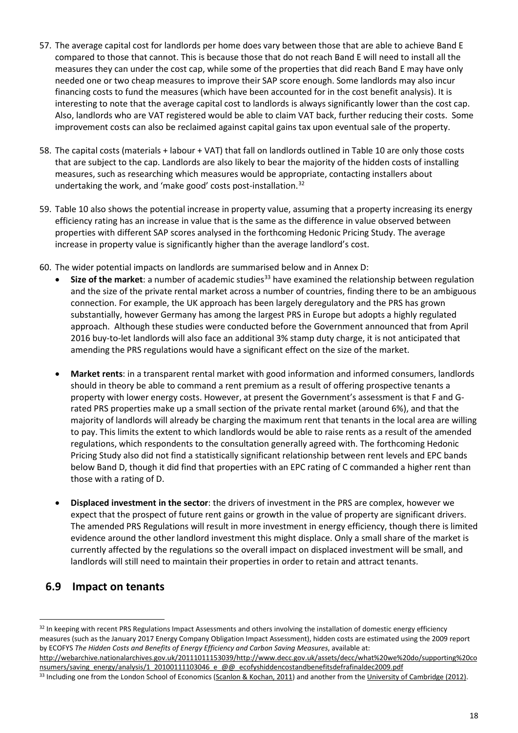- 57. The average capital cost for landlords per home does vary between those that are able to achieve Band E compared to those that cannot. This is because those that do not reach Band E will need to install all the measures they can under the cost cap, while some of the properties that did reach Band E may have only needed one or two cheap measures to improve their SAP score enough. Some landlords may also incur financing costs to fund the measures (which have been accounted for in the cost benefit analysis). It is interesting to note that the average capital cost to landlords is always significantly lower than the cost cap. Also, landlords who are VAT registered would be able to claim VAT back, further reducing their costs. Some improvement costs can also be reclaimed against capital gains tax upon eventual sale of the property.
- 58. The capital costs (materials + labour + VAT) that fall on landlords outlined in [Table 10](#page-18-1) are only those costs that are subject to the cap. Landlords are also likely to bear the majority of the hidden costs of installing measures, such as researching which measures would be appropriate, contacting installers about undertaking the work, and 'make good' costs post-installation.<sup>[32](#page-19-0)</sup>
- 59. [Table](#page-18-1) 10 also shows the potential increase in property value, assuming that a property increasing its energy efficiency rating has an increase in value that is the same as the difference in value observed between properties with different SAP scores analysed in the forthcoming Hedonic Pricing Study. The average increase in property value is significantly higher than the average landlord's cost.
- 60. The wider potential impacts on landlords are summarised below and in Annex D:
	- **Size of the market**: a number of academic studies<sup>[33](#page-19-1)</sup> have examined the relationship between regulation and the size of the private rental market across a number of countries, finding there to be an ambiguous connection. For example, the UK approach has been largely deregulatory and the PRS has grown substantially, however Germany has among the largest PRS in Europe but adopts a highly regulated approach. Although these studies were conducted before the Government announced that from April 2016 buy-to-let landlords will also face an additional 3% stamp duty charge, it is not anticipated that amending the PRS regulations would have a significant effect on the size of the market.
	- **Market rents**: in a transparent rental market with good information and informed consumers, landlords should in theory be able to command a rent premium as a result of offering prospective tenants a property with lower energy costs. However, at present the Government's assessment is that F and Grated PRS properties make up a small section of the private rental market (around 6%), and that the majority of landlords will already be charging the maximum rent that tenants in the local area are willing to pay. This limits the extent to which landlords would be able to raise rents as a result of the amended regulations, which respondents to the consultation generally agreed with. The forthcoming Hedonic Pricing Study also did not find a statistically significant relationship between rent levels and EPC bands below Band D, though it did find that properties with an EPC rating of C commanded a higher rent than those with a rating of D.
	- **Displaced investment in the sector**: the drivers of investment in the PRS are complex, however we expect that the prospect of future rent gains or growth in the value of property are significant drivers. The amended PRS Regulations will result in more investment in energy efficiency, though there is limited evidence around the other landlord investment this might displace. Only a small share of the market is currently affected by the regulations so the overall impact on displaced investment will be small, and landlords will still need to maintain their properties in order to retain and attract tenants.

## **6.9 Impact on tenants**

[http://webarchive.nationalarchives.gov.uk/20111011153039/http://www.decc.gov.uk/assets/decc/what%20we%20do/supporting%20co](http://webarchive.nationalarchives.gov.uk/20111011153039/http:/www.decc.gov.uk/assets/decc/what%20we%20do/supporting%20consumers/saving_energy/analysis/1_20100111103046_e_@@_ecofyshiddencostandbenefitsdefrafinaldec2009.pdf) [nsumers/saving\\_energy/analysis/1\\_20100111103046\\_e\\_@@\\_ecofyshiddencostandbenefitsdefrafinaldec2009.pdf](http://webarchive.nationalarchives.gov.uk/20111011153039/http:/www.decc.gov.uk/assets/decc/what%20we%20do/supporting%20consumers/saving_energy/analysis/1_20100111103046_e_@@_ecofyshiddencostandbenefitsdefrafinaldec2009.pdf)

<span id="page-19-0"></span><sup>-</sup>32 In keeping with recent PRS Regulations Impact Assessments and others involving the installation of domestic energy efficiency measures (such as the January 2017 Energy Company Obligation Impact Assessment), hidden costs are estimated using the 2009 report by ECOFYS *The Hidden Costs and Benefits of Energy Efficiency and Carbon Saving Measures*, available at:

<span id="page-19-1"></span><sup>&</sup>lt;sup>33</sup> Including one from the London School of Economics [\(Scanlon & Kochan, 2011\)](http://www.lse.ac.uk/geographyAndEnvironment/research/london/events/HEIF/HEIF4b_10-11%20-newlondonenv/prslaunch/Book.pdf) and another from the [University of Cambridge \(2012\)](http://www.lse.ac.uk/geographyAndEnvironment/research/london/pdf/The-Private-Rented-Sector-WEB%5b1%5d.pdf).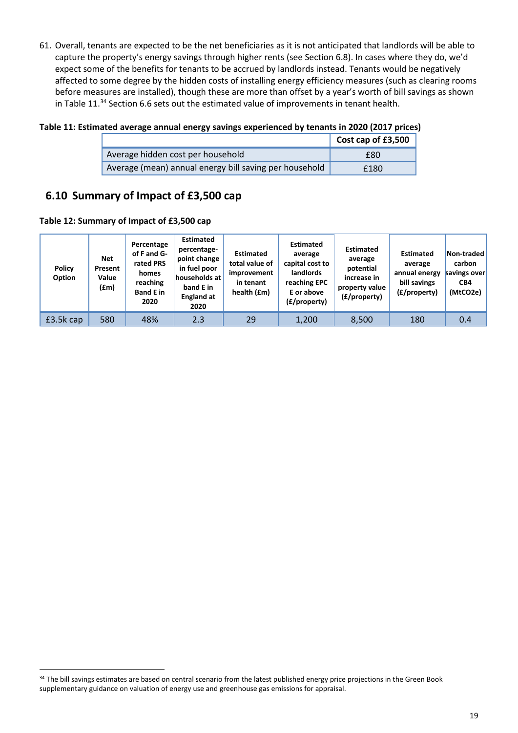61. Overall, tenants are expected to be the net beneficiaries as it is not anticipated that landlords will be able to capture the property's energy savings through higher rents (see Section [6.8\)](#page-18-5). In cases where they do, we'd expect some of the benefits for tenants to be accrued by landlords instead. Tenants would be negatively affected to some degree by the hidden costs of installing energy efficiency measures (such as clearing rooms before measures are installed), though these are more than offset by a year's worth of bill savings as shown in [Table 11.](#page-20-0)<sup>[34](#page-20-1)</sup> Section [6.6](#page-17-7) sets out the estimated value of improvements in tenant health.

<span id="page-20-0"></span>**Table 11: Estimated average annual energy savings experienced by tenants in 2020 (2017 prices)**

|                                                        | Cost cap of £3,500 |
|--------------------------------------------------------|--------------------|
| Average hidden cost per household                      | £80                |
| Average (mean) annual energy bill saving per household | £180               |

## **6.10 Summary of Impact of £3,500 cap**

**Table 12: Summary of Impact of £3,500 cap**

| Policy<br>Option | <b>Net</b><br>Present<br>Value<br>(fm) | Percentage<br>of F and G-<br>rated PRS<br>homes<br>reaching<br><b>Band E</b> in<br>2020 | <b>Estimated</b><br>percentage-<br>point change<br>in fuel poor<br>households at<br>band E in<br><b>England at</b><br>2020 | <b>Estimated</b><br>total value of<br>improvement<br>in tenant<br>health (£m) | <b>Estimated</b><br>average<br>capital cost to<br>landlords<br>reaching EPC<br>E or above<br>(£/property) | <b>Estimated</b><br>average<br>potential<br>increase in<br>property value<br>(£/property) | <b>Estimated</b><br>average<br>annual energy<br>bill savings<br>(£/property) | Non-traded<br>carbon<br>savings over<br>CB4<br>(MtCO2e) |
|------------------|----------------------------------------|-----------------------------------------------------------------------------------------|----------------------------------------------------------------------------------------------------------------------------|-------------------------------------------------------------------------------|-----------------------------------------------------------------------------------------------------------|-------------------------------------------------------------------------------------------|------------------------------------------------------------------------------|---------------------------------------------------------|
| £3.5k cap        | 580                                    | 48%                                                                                     | 2.3                                                                                                                        | 29                                                                            | 1,200                                                                                                     | 8,500                                                                                     | 180                                                                          | 0.4                                                     |

<span id="page-20-1"></span><sup>34</sup> The bill savings estimates are based on central scenario from the latest published energy price projections in the Green Book supplementary guidance on valuation of energy use and greenhouse gas emissions for appraisal.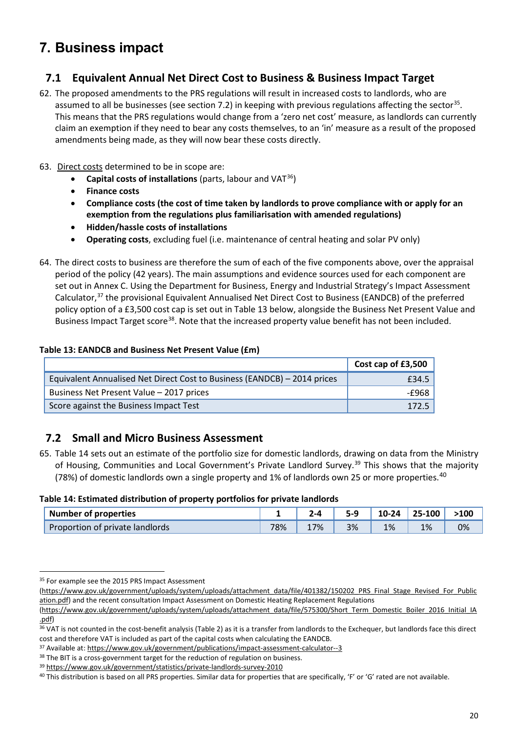## <span id="page-21-0"></span>**7. Business impact**

### **7.1 Equivalent Annual Net Direct Cost to Business & Business Impact Target**

- 62. The proposed amendments to the PRS regulations will result in increased costs to landlords, who are assumed to all be businesses (see section [7.2\)](#page-21-1) in keeping with previous regulations affecting the sector<sup>35</sup>. This means that the PRS regulations would change from a 'zero net cost' measure, as landlords can currently claim an exemption if they need to bear any costs themselves, to an 'in' measure as a result of the proposed amendments being made, as they will now bear these costs directly.
- 63. Direct costs determined to be in scope are:
	- **Capital costs of installations** (parts, labour and VAT[36](#page-21-5))
	- **Finance costs**
	- **Compliance costs (the cost of time taken by landlords to prove compliance with or apply for an exemption from the regulations plus familiarisation with amended regulations)**
	- **Hidden/hassle costs of installations**
	- **Operating costs**, excluding fuel (i.e. maintenance of central heating and solar PV only)
- 64. The direct costs to business are therefore the sum of each of the five components above, over the appraisal period of the policy (42 years). The main assumptions and evidence sources used for each component are set out in Annex C. Using the Department for Business, Energy and Industrial Strategy's Impact Assessment Calculator,[37](#page-21-6) the provisional Equivalent Annualised Net Direct Cost to Business (EANDCB) of the preferred policy option of a £3,500 cost cap is set out i[n Table 13](#page-21-2) below, alongside the Business Net Present Value and Business Impact Target score<sup>38</sup>. Note that the increased property value benefit has not been included.

#### <span id="page-21-2"></span>**Table 13: EANDCB and Business Net Present Value (£m)**

|                                                                          | Cost cap of £3,500 |
|--------------------------------------------------------------------------|--------------------|
| Equivalent Annualised Net Direct Cost to Business (EANDCB) - 2014 prices | £34.5              |
| Business Net Present Value - 2017 prices                                 | -£968 l            |
| Score against the Business Impact Test                                   | 172.5              |

### <span id="page-21-1"></span>**7.2 Small and Micro Business Assessment**

65. [Table 14](#page-21-3) sets out an estimate of the portfolio size for domestic landlords, drawing on data from the Ministry of Housing, Communities and Local Government's Private Landlord Survey.<sup>[39](#page-21-8)</sup> This shows that the majority (78%) of domestic landlords own a single property and 1% of landlords own 25 or more properties.<sup>[40](#page-21-9)</sup>

<span id="page-21-3"></span>**Table 14: Estimated distribution of property portfolios for private landlords**

| <b>Number of properties</b>     |     |         |    | $0 - 24$ | 25-100 | $\cdot 100$ |
|---------------------------------|-----|---------|----|----------|--------|-------------|
| Proportion of private landlords | 78% | 7%<br>⊥ | 3% | 1%       | 1%     | 0%          |

<sup>&</sup>lt;u>.</u> <sup>35</sup> For example see the 2015 PRS Impact Assessment

<span id="page-21-4"></span>[<sup>\(</sup>https://www.gov.uk/government/uploads/system/uploads/attachment\\_data/file/401382/150202\\_PRS\\_Final\\_Stage\\_Revised\\_For\\_Public](https://www.gov.uk/government/uploads/system/uploads/attachment_data/file/401382/150202_PRS_Final_Stage_Revised_For_Publication.pdf) [ation.pdf\)](https://www.gov.uk/government/uploads/system/uploads/attachment_data/file/401382/150202_PRS_Final_Stage_Revised_For_Publication.pdf) and the recent consultation Impact Assessment on Domestic Heating Replacement Regulations

<sup>(</sup>[https://www.gov.uk/government/uploads/system/uploads/attachment\\_data/file/575300/Short\\_Term\\_Domestic\\_Boiler\\_2016\\_Initial\\_IA](https://www.gov.uk/government/uploads/system/uploads/attachment_data/file/575300/Short_Term_Domestic_Boiler_2016_Initial_IA.pdf)

<span id="page-21-5"></span>[<sup>.</sup>pdf\)](https://www.gov.uk/government/uploads/system/uploads/attachment_data/file/575300/Short_Term_Domestic_Boiler_2016_Initial_IA.pdf) 36 VAT is not counted in the cost-benefit analysis (Table 2) as it is a transfer from landlords to the Exchequer, but landlords face this direct cost and therefore VAT is included as part of the capital costs when calculating the EANDCB.

<span id="page-21-6"></span><sup>37</sup> Available at[: https://www.gov.uk/government/publications/impact-assessment-calculator--3](https://www.gov.uk/government/publications/impact-assessment-calculator--3)

<span id="page-21-8"></span><span id="page-21-7"></span><sup>&</sup>lt;sup>38</sup> The BIT is a cross-government target for the reduction of regulation on business.

<sup>39</sup> <https://www.gov.uk/government/statistics/private-landlords-survey-2010>

<span id="page-21-9"></span><sup>&</sup>lt;sup>40</sup> This distribution is based on all PRS properties. Similar data for properties that are specifically, 'F' or 'G' rated are not available.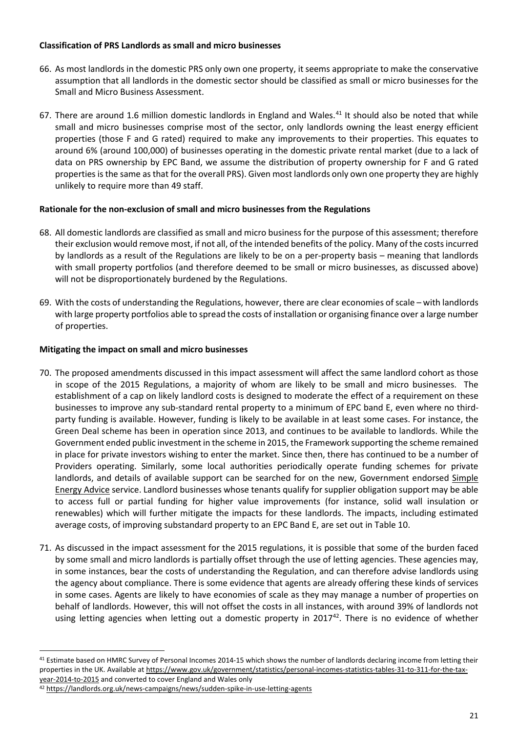#### **Classification of PRS Landlords as small and micro businesses**

- 66. As most landlords in the domestic PRS only own one property, it seems appropriate to make the conservative assumption that all landlords in the domestic sector should be classified as small or micro businesses for the Small and Micro Business Assessment.
- 67. There are around 1.6 million domestic landlords in England and Wales.<sup>[41](#page-22-0)</sup> It should also be noted that while small and micro businesses comprise most of the sector, only landlords owning the least energy efficient properties (those F and G rated) required to make any improvements to their properties. This equates to around 6% (around 100,000) of businesses operating in the domestic private rental market (due to a lack of data on PRS ownership by EPC Band, we assume the distribution of property ownership for F and G rated properties is the same as that for the overall PRS). Given most landlords only own one property they are highly unlikely to require more than 49 staff.

#### **Rationale for the non-exclusion of small and micro businesses from the Regulations**

- 68. All domestic landlords are classified as small and micro business for the purpose of this assessment; therefore their exclusion would remove most, if not all, of the intended benefits of the policy. Many of the costs incurred by landlords as a result of the Regulations are likely to be on a per-property basis – meaning that landlords with small property portfolios (and therefore deemed to be small or micro businesses, as discussed above) will not be disproportionately burdened by the Regulations.
- 69. With the costs of understanding the Regulations, however, there are clear economies of scale with landlords with large property portfolios able to spread the costs of installation or organising finance over a large number of properties.

#### **Mitigating the impact on small and micro businesses**

- 70. The proposed amendments discussed in this impact assessment will affect the same landlord cohort as those in scope of the 2015 Regulations, a majority of whom are likely to be small and micro businesses. The establishment of a cap on likely landlord costs is designed to moderate the effect of a requirement on these businesses to improve any sub-standard rental property to a minimum of EPC band E, even where no thirdparty funding is available. However, funding is likely to be available in at least some cases. For instance, the Green Deal scheme has been in operation since 2013, and continues to be available to landlords. While the Government ended public investment in the scheme in 2015, the Framework supporting the scheme remained in place for private investors wishing to enter the market. Since then, there has continued to be a number of Providers operating. Similarly, some local authorities periodically operate funding schemes for private landlords, and details of available support can be searched for on the new, Government endorsed [Simple](http://www.simpleenergyadvice.org.uk/grants)  [Energy Advice](http://www.simpleenergyadvice.org.uk/grants) service. Landlord businesses whose tenants qualify for supplier obligation support may be able to access full or partial funding for higher value improvements (for instance, solid wall insulation or renewables) which will further mitigate the impacts for these landlords. The impacts, including estimated average costs, of improving substandard property to an EPC Band E, are set out in [Table 10.](#page-18-1)
- 71. As discussed in the impact assessment for the 2015 regulations, it is possible that some of the burden faced by some small and micro landlords is partially offset through the use of letting agencies. These agencies may, in some instances, bear the costs of understanding the Regulation, and can therefore advise landlords using the agency about compliance. There is some evidence that agents are already offering these kinds of services in some cases. Agents are likely to have economies of scale as they may manage a number of properties on behalf of landlords. However, this will not offset the costs in all instances, with around 39% of landlords not using letting agencies when letting out a domestic property in  $2017<sup>42</sup>$ . There is no evidence of whether

<u>.</u>

<span id="page-22-0"></span><sup>41</sup> Estimate based on HMRC Survey of Personal Incomes 2014-15 which shows the number of landlords declaring income from letting their properties in the UK. Available at [https://www.gov.uk/government/statistics/personal-incomes-statistics-tables-31-to-311-for-the-tax](https://www.gov.uk/government/statistics/personal-incomes-statistics-tables-31-to-311-for-the-tax-year-2014-to-2015)[year-2014-to-2015](https://www.gov.uk/government/statistics/personal-incomes-statistics-tables-31-to-311-for-the-tax-year-2014-to-2015) and converted to cover England and Wales only

<span id="page-22-1"></span><sup>42</sup> <https://landlords.org.uk/news-campaigns/news/sudden-spike-in-use-letting-agents>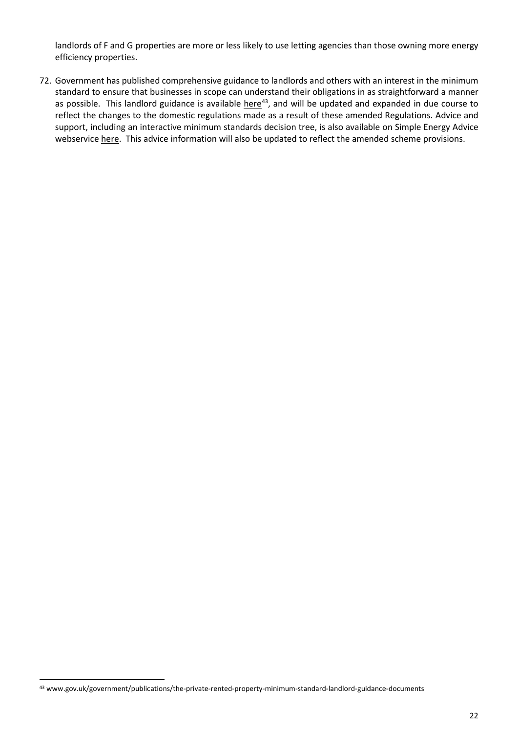landlords of F and G properties are more or less likely to use letting agencies than those owning more energy efficiency properties.

72. Government has published comprehensive guidance to landlords and others with an interest in the minimum standard to ensure that businesses in scope can understand their obligations in as straightforward a manner as possible. This landlord guidance is available [here](https://www.gov.uk/government/publications/the-private-rented-property-minimum-standard-landlord-guidance-documents)<sup>[43](#page-23-0)</sup>, and will be updated and expanded in due course to reflect the changes to the domestic regulations made as a result of these amended Regulations. Advice and support, including an interactive minimum standards decision tree, is also available on Simple Energy Advice webservice [here.](https://www.simpleenergyadvice.org.uk/pages/information-for-landlords) This advice information will also be updated to reflect the amended scheme provisions.

<span id="page-23-0"></span><sup>43</sup> www.gov.uk/government/publications/the-private-rented-property-minimum-standard-landlord-guidance-documents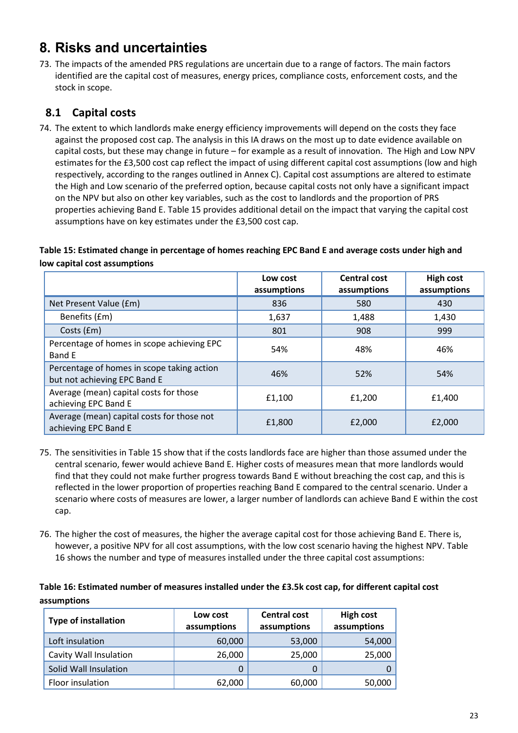## <span id="page-24-1"></span><span id="page-24-0"></span>**8. Risks and uncertainties**

73. The impacts of the amended PRS regulations are uncertain due to a range of factors. The main factors identified are the capital cost of measures, energy prices, compliance costs, enforcement costs, and the stock in scope.

## **8.1 Capital costs**

74. The extent to which landlords make energy efficiency improvements will depend on the costs they face against the proposed cost cap. The analysis in this IA draws on the most up to date evidence available on capital costs, but these may change in future – for example as a result of innovation. The High and Low NPV estimates for the £3,500 cost cap reflect the impact of using different capital cost assumptions (low and high respectively, according to the ranges outlined in [Annex C](#page-35-1)). Capital cost assumptions are altered to estimate the High and Low scenario of the preferred option, because capital costs not only have a significant impact on the NPV but also on other key variables, such as the cost to landlords and the proportion of PRS properties achieving Band E. [Table 15](#page-24-2) provides additional detail on the impact that varying the capital cost assumptions have on key estimates under the £3,500 cost cap.

#### <span id="page-24-2"></span>**Table 15: Estimated change in percentage of homes reaching EPC Band E and average costs under high and low capital cost assumptions**

|                                                                            | Low cost<br>assumptions | <b>Central cost</b><br>assumptions | <b>High cost</b><br>assumptions |
|----------------------------------------------------------------------------|-------------------------|------------------------------------|---------------------------------|
| Net Present Value (£m)                                                     | 836                     | 580                                | 430                             |
| Benefits (£m)                                                              | 1,637                   | 1,488                              | 1,430                           |
| Costs (£m)                                                                 | 801                     | 908                                | 999                             |
| Percentage of homes in scope achieving EPC<br>Band E                       | 54%                     | 48%                                | 46%                             |
| Percentage of homes in scope taking action<br>but not achieving EPC Band E | 46%                     | 52%                                | 54%                             |
| Average (mean) capital costs for those<br>achieving EPC Band E             | £1,100                  | £1,200                             | £1,400                          |
| Average (mean) capital costs for those not<br>achieving EPC Band E         | £1,800                  | £2,000                             | £2,000                          |

- 75. The sensitivities in [Table 15](#page-24-2) show that if the costs landlords face are higher than those assumed under the central scenario, fewer would achieve Band E. Higher costs of measures mean that more landlords would find that they could not make further progress towards Band E without breaching the cost cap, and this is reflected in the lower proportion of properties reaching Band E compared to the central scenario. Under a scenario where costs of measures are lower, a larger number of landlords can achieve Band E within the cost cap.
- 76. The higher the cost of measures, the higher the average capital cost for those achieving Band E. There is, however, a positive NPV for all cost assumptions, with the low cost scenario having the highest NPV[. Table](#page-24-3)  [16](#page-24-3) shows the number and type of measures installed under the three capital cost assumptions:

#### <span id="page-24-3"></span>**Table 16: Estimated number of measures installed under the £3.5k cost cap, for different capital cost assumptions**

| <b>Type of installation</b> | Low cost<br>assumptions | <b>Central cost</b><br>assumptions | <b>High cost</b><br>assumptions |  |
|-----------------------------|-------------------------|------------------------------------|---------------------------------|--|
| Loft insulation             | 60,000                  | 53,000                             | 54,000                          |  |
| Cavity Wall Insulation      | 26,000                  | 25,000                             | 25,000                          |  |
| Solid Wall Insulation       | 0                       |                                    |                                 |  |
| Floor insulation            | 62,000                  | 60,000                             | 50,000                          |  |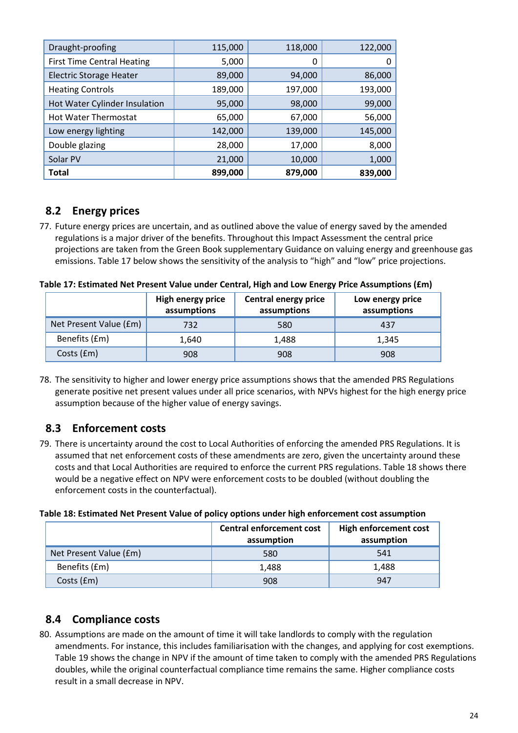| Draught-proofing                  | 115,000 | 118,000 | 122,000 |
|-----------------------------------|---------|---------|---------|
| <b>First Time Central Heating</b> | 5,000   | 0       |         |
| <b>Electric Storage Heater</b>    | 89,000  | 94,000  | 86,000  |
| <b>Heating Controls</b>           | 189,000 | 197,000 | 193,000 |
| Hot Water Cylinder Insulation     | 95,000  | 98,000  | 99,000  |
| <b>Hot Water Thermostat</b>       | 65,000  | 67,000  | 56,000  |
| Low energy lighting               | 142,000 | 139,000 | 145,000 |
| Double glazing                    | 28,000  | 17,000  | 8,000   |
| Solar PV                          | 21,000  | 10,000  | 1,000   |
| <b>Total</b>                      | 899,000 | 879,000 | 839,000 |

## **8.2 Energy prices**

77. Future energy prices are uncertain, and as outlined above the value of energy saved by the amended regulations is a major driver of the benefits. Throughout this Impact Assessment the central price projections are taken from the Green Book supplementary Guidance on valuing energy and greenhouse gas emissions[. Table 17](#page-25-0) below shows the sensitivity of the analysis to "high" and "low" price projections.

<span id="page-25-0"></span>**Table 17: Estimated Net Present Value under Central, High and Low Energy Price Assumptions (£m)**

|                        | High energy price<br>assumptions | <b>Central energy price</b><br>assumptions | Low energy price<br>assumptions |
|------------------------|----------------------------------|--------------------------------------------|---------------------------------|
| Net Present Value (£m) | 732                              | 580                                        | 437                             |
| Benefits (£m)          | 1,640                            | 1,488                                      | 1,345                           |
| Costs (£m)             | 908                              | 908                                        | 908                             |

78. The sensitivity to higher and lower energy price assumptions shows that the amended PRS Regulations generate positive net present values under all price scenarios, with NPVs highest for the high energy price assumption because of the higher value of energy savings.

## **8.3 Enforcement costs**

79. There is uncertainty around the cost to Local Authorities of enforcing the amended PRS Regulations. It is assumed that net enforcement costs of these amendments are zero, given the uncertainty around these costs and that Local Authorities are required to enforce the current PRS regulations. [Table 18](#page-25-1) shows there would be a negative effect on NPV were enforcement costs to be doubled (without doubling the enforcement costs in the counterfactual).

#### <span id="page-25-1"></span>**Table 18: Estimated Net Present Value of policy options under high enforcement cost assumption**

|                        | <b>Central enforcement cost</b><br>assumption | High enforcement cost<br>assumption |
|------------------------|-----------------------------------------------|-------------------------------------|
| Net Present Value (£m) | 580                                           | 541                                 |
| Benefits (£m)          | 1,488                                         | 1,488                               |
| Costs (£m)             | 908                                           | 947                                 |

## **8.4 Compliance costs**

80. Assumptions are made on the amount of time it will take landlords to comply with the regulation amendments. For instance, this includes familiarisation with the changes, and applying for cost exemptions. [Table 19](#page-26-0) shows the change in NPV if the amount of time taken to comply with the amended PRS Regulations doubles, while the original counterfactual compliance time remains the same. Higher compliance costs result in a small decrease in NPV.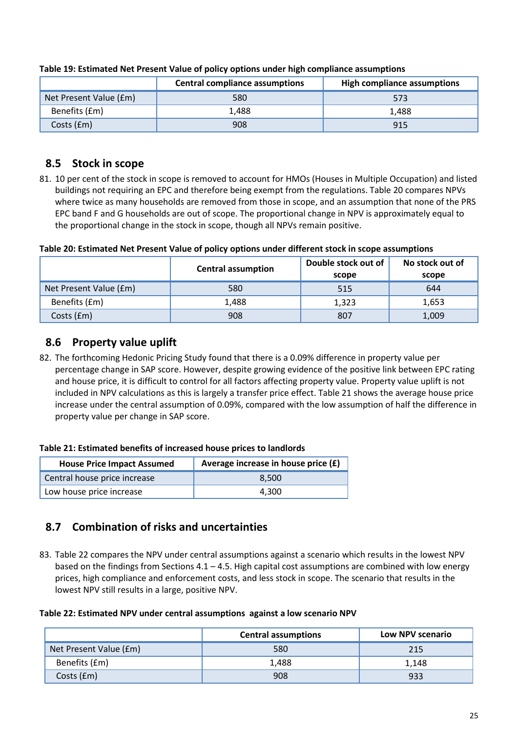|                        | <b>Central compliance assumptions</b> | High compliance assumptions |
|------------------------|---------------------------------------|-----------------------------|
| Net Present Value (£m) | 580                                   | 573                         |
| Benefits (£m)          | 1.488                                 | 1.488                       |
| Costs (£m)             | 908                                   | 915                         |

#### <span id="page-26-0"></span>**Table 19: Estimated Net Present Value of policy options under high compliance assumptions**

### **8.5 Stock in scope**

81. 10 per cent of the stock in scope is removed to account for HMOs (Houses in Multiple Occupation) and listed buildings not requiring an EPC and therefore being exempt from the regulations. [Table 20](#page-26-1) compares NPVs where twice as many households are removed from those in scope, and an assumption that none of the PRS EPC band F and G households are out of scope. The proportional change in NPV is approximately equal to the proportional change in the stock in scope, though all NPVs remain positive.

#### <span id="page-26-1"></span>**Table 20: Estimated Net Present Value of policy options under different stock in scope assumptions**

|                        | <b>Central assumption</b> | Double stock out of<br>scope | No stock out of<br>scope |
|------------------------|---------------------------|------------------------------|--------------------------|
| Net Present Value (£m) | 580                       | 515                          | 644                      |
| Benefits (£m)          | 1.488                     | 1,323                        | 1,653                    |
| Costs (£m)             | 908                       | 807                          | 1,009                    |

### **8.6 Property value uplift**

82. The forthcoming Hedonic Pricing Study found that there is a 0.09% difference in property value per percentage change in SAP score. However, despite growing evidence of the positive link between EPC rating and house price, it is difficult to control for all factors affecting property value. Property value uplift is not included in NPV calculations as this is largely a transfer price effect. [Table 21](#page-26-2) shows the average house price increase under the central assumption of 0.09%, compared with the low assumption of half the difference in property value per change in SAP score.

#### **Table 21: Estimated benefits of increased house prices to landlords**

<span id="page-26-2"></span>

| <b>House Price Impact Assumed</b> | Average increase in house price (£) |
|-----------------------------------|-------------------------------------|
| Central house price increase      | 8.500                               |
| Low house price increase          | 4.300                               |

## **8.7 Combination of risks and uncertainties**

83. [Table 22](#page-26-3) compares the NPV under central assumptions against a scenario which results in the lowest NPV based on the findings from Sections  $4.1 - 4.5$ . High capital cost assumptions are combined with low energy prices, high compliance and enforcement costs, and less stock in scope. The scenario that results in the lowest NPV still results in a large, positive NPV.

#### <span id="page-26-3"></span>**Table 22: Estimated NPV under central assumptions against a low scenario NPV**

|                        | <b>Central assumptions</b> | <b>Low NPV scenario</b> |  |  |
|------------------------|----------------------------|-------------------------|--|--|
| Net Present Value (£m) | 580                        | 215                     |  |  |
| Benefits (£m)          | 1,488                      | 1.148                   |  |  |
| Costs (£m)             | 908                        | 933                     |  |  |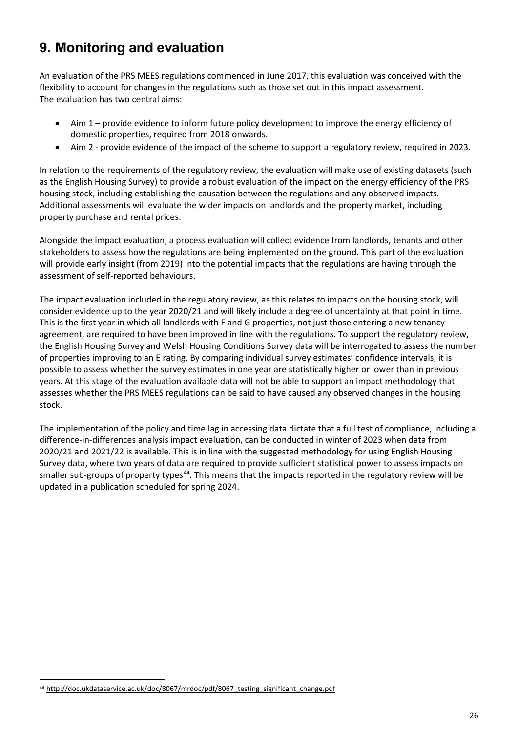## <span id="page-27-0"></span>**9. Monitoring and evaluation**

An evaluation of the PRS MEES regulations commenced in June 2017, this evaluation was conceived with the flexibility to account for changes in the regulations such as those set out in this impact assessment. The evaluation has two central aims:

- Aim 1 provide evidence to inform future policy development to improve the energy efficiency of domestic properties, required from 2018 onwards.
- Aim 2 provide evidence of the impact of the scheme to support a regulatory review, required in 2023.

In relation to the requirements of the regulatory review, the evaluation will make use of existing datasets (such as the English Housing Survey) to provide a robust evaluation of the impact on the energy efficiency of the PRS housing stock, including establishing the causation between the regulations and any observed impacts. Additional assessments will evaluate the wider impacts on landlords and the property market, including property purchase and rental prices.

Alongside the impact evaluation, a process evaluation will collect evidence from landlords, tenants and other stakeholders to assess how the regulations are being implemented on the ground. This part of the evaluation will provide early insight (from 2019) into the potential impacts that the regulations are having through the assessment of self-reported behaviours.

The impact evaluation included in the regulatory review, as this relates to impacts on the housing stock, will consider evidence up to the year 2020/21 and will likely include a degree of uncertainty at that point in time. This is the first year in which all landlords with F and G properties, not just those entering a new tenancy agreement, are required to have been improved in line with the regulations. To support the regulatory review, the English Housing Survey and Welsh Housing Conditions Survey data will be interrogated to assess the number of properties improving to an E rating. By comparing individual survey estimates' confidence intervals, it is possible to assess whether the survey estimates in one year are statistically higher or lower than in previous years. At this stage of the evaluation available data will not be able to support an impact methodology that assesses whether the PRS MEES regulations can be said to have caused any observed changes in the housing stock.

The implementation of the policy and time lag in accessing data dictate that a full test of compliance, including a difference-in-differences analysis impact evaluation, can be conducted in winter of 2023 when data from 2020/21 and 2021/22 is available. This is in line with the suggested methodology for using English Housing Survey data, where two years of data are required to provide sufficient statistical power to assess impacts on smaller sub-groups of property types<sup>[44](#page-27-1)</sup>. This means that the impacts reported in the regulatory review will be updated in a publication scheduled for spring 2024.

<span id="page-27-1"></span><sup>-</sup><sup>44</sup> [http://doc.ukdataservice.ac.uk/doc/8067/mrdoc/pdf/8067\\_testing\\_significant\\_change.pdf](http://doc.ukdataservice.ac.uk/doc/8067/mrdoc/pdf/8067_testing_significant_change.pdf)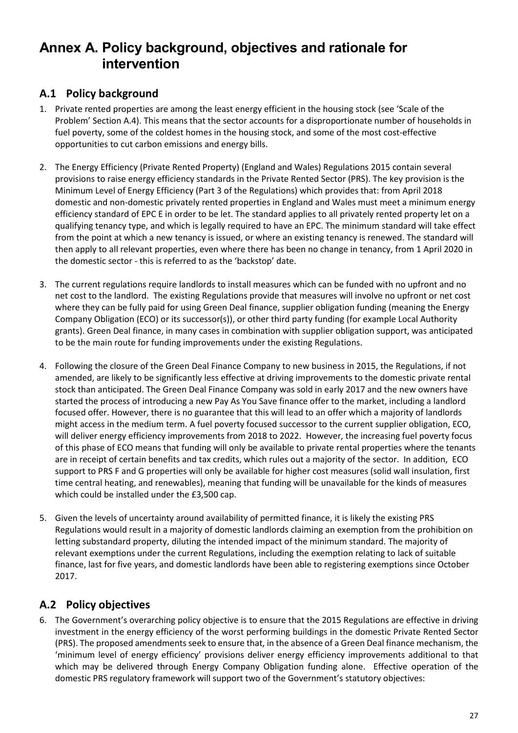## <span id="page-28-0"></span>**Annex A. Policy background, objectives and rationale for intervention**

## **A.1 Policy background**

- 1. Private rented properties are among the least energy efficient in the housing stock (see 'Scale of the Problem' Section [A.4\)](#page-29-0). This means that the sector accounts for a disproportionate number of households in fuel poverty, some of the coldest homes in the housing stock, and some of the most cost-effective opportunities to cut carbon emissions and energy bills.
- 2. The Energy Efficiency (Private Rented Property) (England and Wales) Regulations 2015 contain several provisions to raise energy efficiency standards in the Private Rented Sector (PRS). The key provision is the Minimum Level of Energy Efficiency (Part 3 of the Regulations) which provides that: from April 2018 domestic and non-domestic privately rented properties in England and Wales must meet a minimum energy efficiency standard of EPC E in order to be let. The standard applies to all privately rented property let on a qualifying tenancy type, and which is legally required to have an EPC. The minimum standard will take effect from the point at which a new tenancy is issued, or where an existing tenancy is renewed. The standard will then apply to all relevant properties, even where there has been no change in tenancy, from 1 April 2020 in the domestic sector - this is referred to as the 'backstop' date.
- 3. The current regulations require landlords to install measures which can be funded with no upfront and no net cost to the landlord. The existing Regulations provide that measures will involve no upfront or net cost where they can be fully paid for using Green Deal finance, supplier obligation funding (meaning the Energy Company Obligation (ECO) or its successor(s)), or other third party funding (for example Local Authority grants). Green Deal finance, in many cases in combination with supplier obligation support, was anticipated to be the main route for funding improvements under the existing Regulations.
- 4. Following the closure of the Green Deal Finance Company to new business in 2015, the Regulations, if not amended, are likely to be significantly less effective at driving improvements to the domestic private rental stock than anticipated. The Green Deal Finance Company was sold in early 2017 and the new owners have started the process of introducing a new Pay As You Save finance offer to the market, including a landlord focused offer. However, there is no guarantee that this will lead to an offer which a majority of landlords might access in the medium term. A fuel poverty focused successor to the current supplier obligation, ECO, will deliver energy efficiency improvements from 2018 to 2022. However, the increasing fuel poverty focus of this phase of ECO means that funding will only be available to private rental properties where the tenants are in receipt of certain benefits and tax credits, which rules out a majority of the sector. In addition, ECO support to PRS F and G properties will only be available for higher cost measures (solid wall insulation, first time central heating, and renewables), meaning that funding will be unavailable for the kinds of measures which could be installed under the £3,500 cap.
- 5. Given the levels of uncertainty around availability of permitted finance, it is likely the existing PRS Regulations would result in a majority of domestic landlords claiming an exemption from the prohibition on letting substandard property, diluting the intended impact of the minimum standard. The majority of relevant exemptions under the current Regulations, including the exemption relating to lack of suitable finance, last for five years, and domestic landlords have been able to registering exemptions since October 2017.

## **A.2 Policy objectives**

6. The Government's overarching policy objective is to ensure that the 2015 Regulations are effective in driving investment in the energy efficiency of the worst performing buildings in the domestic Private Rented Sector (PRS). The proposed amendments seek to ensure that, in the absence of a Green Deal finance mechanism, the 'minimum level of energy efficiency' provisions deliver energy efficiency improvements additional to that which may be delivered through Energy Company Obligation funding alone. Effective operation of the domestic PRS regulatory framework will support two of the Government's statutory objectives: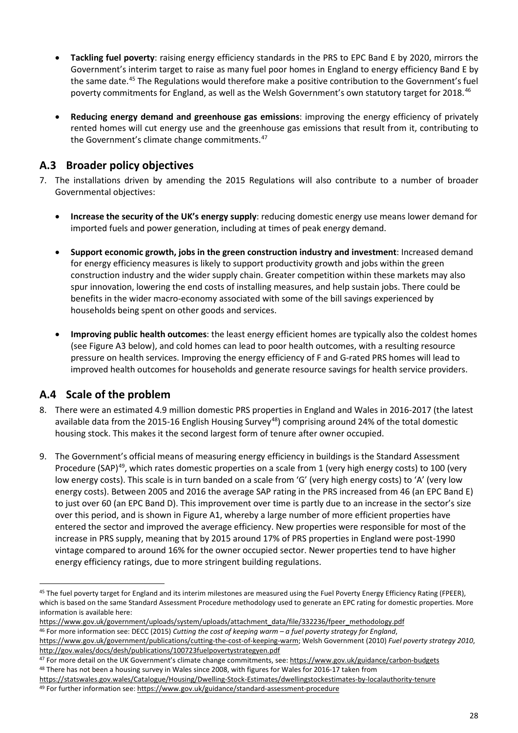- **Tackling fuel poverty**: raising energy efficiency standards in the PRS to EPC Band E by 2020, mirrors the Government's interim target to raise as many fuel poor homes in England to energy efficiency Band E by the same date.<sup>[45](#page-29-1)</sup> The Regulations would therefore make a positive contribution to the Government's fuel poverty commitments for England, as well as the Welsh Government's own statutory target for 2018.[46](#page-29-2)
- **Reducing energy demand and greenhouse gas emissions**: improving the energy efficiency of privately rented homes will cut energy use and the greenhouse gas emissions that result from it, contributing to the Government's climate change commitments.<sup>47</sup>

## **A.3 Broader policy objectives**

- 7. The installations driven by amending the 2015 Regulations will also contribute to a number of broader Governmental objectives:
	- **Increase the security of the UK's energy supply**: reducing domestic energy use means lower demand for imported fuels and power generation, including at times of peak energy demand.
	- **Support economic growth, jobs in the green construction industry and investment**: Increased demand for energy efficiency measures is likely to support productivity growth and jobs within the green construction industry and the wider supply chain. Greater competition within these markets may also spur innovation, lowering the end costs of installing measures, and help sustain jobs. There could be benefits in the wider macro-economy associated with some of the bill savings experienced by households being spent on other goods and services.
	- **Improving public health outcomes**: the least energy efficient homes are typically also the coldest homes (see Figure A3 below), and cold homes can lead to poor health outcomes, with a resulting resource pressure on health services. Improving the energy efficiency of F and G-rated PRS homes will lead to improved health outcomes for households and generate resource savings for health service providers.

## <span id="page-29-0"></span>**A.4 Scale of the problem**

- 8. There were an estimated 4.9 million domestic PRS properties in England and Wales in 2016-2017 (the latest available data from the 2015-16 English Housing Survey<sup>[48](#page-29-4)</sup>) comprising around 24% of the total domestic housing stock. This makes it the second largest form of tenure after owner occupied.
- 9. The Government's official means of measuring energy efficiency in buildings is the Standard Assessment Procedure (SAP)<sup>49</sup>, which rates domestic properties on a scale from 1 (very high energy costs) to 100 (very low energy costs). This scale is in turn banded on a scale from 'G' (very high energy costs) to 'A' (very low energy costs). Between 2005 and 2016 the average SAP rating in the PRS increased from 46 (an EPC Band E) to just over 60 (an EPC Band D). This improvement over time is partly due to an increase in the sector's size over this period, and is shown in Figure A1, whereby a large number of more efficient properties have entered the sector and improved the average efficiency. New properties were responsible for most of the increase in PRS supply, meaning that by 2015 around 17% of PRS properties in England were post-1990 vintage compared to around 16% for the owner occupied sector. Newer properties tend to have higher energy efficiency ratings, due to more stringent building regulations.

https://www.gov.uk/government/uploads/system/uploads/attachment\_data/file/332236/fpeer\_methodology.pdf<br><sup>46</sup> For more information see: DECC (2015) Cutting the cost of keeping warm – a fuel poverty strategy for England,

<span id="page-29-2"></span>

[https://www.gov.uk/government/publications/cutting-the-cost-of-keeping-warm;](https://www.gov.uk/government/publications/cutting-the-cost-of-keeping-warm) Welsh Government (2010) *Fuel poverty strategy 2010*, <http://gov.wales/docs/desh/publications/100723fuelpovertystrategyen.pdf>

<span id="page-29-1"></span><sup>-</sup>45 The fuel poverty target for England and its interim milestones are measured using the Fuel Poverty Energy Efficiency Rating (FPEER), which is based on the same Standard Assessment Procedure methodology used to generate an EPC rating for domestic properties. More information is available here:

<span id="page-29-4"></span><span id="page-29-3"></span><sup>47</sup> For more detail on the UK Government's climate change commitments, see[: https://www.gov.uk/guidance/carbon-budgets](https://www.gov.uk/guidance/carbon-budgets) 48 There has not been a housing survey in Wales since 2008, with figures for Wales for 2016-17 taken from

<span id="page-29-5"></span>https://statswales.gov.wales/Catalogue/Housing/Dwelling[-Stock-Estimates/dwellingstockestimates-by-localauthority-tenure](https://statswales.gov.wales/Catalogue/Housing/Dwelling-Stock-Estimates/dwellingstockestimates-by-localauthority-tenure) 49 For further information see:<https://www.gov.uk/guidance/standard-assessment-procedure>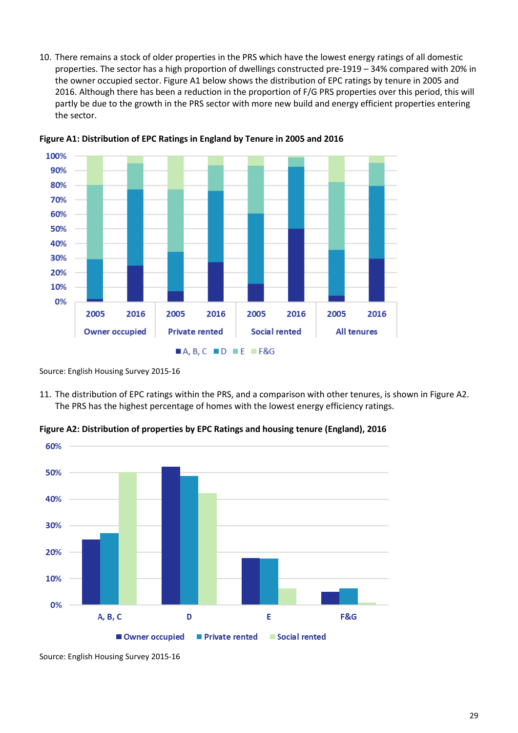10. There remains a stock of older properties in the PRS which have the lowest energy ratings of all domestic properties. The sector has a high proportion of dwellings constructed pre-1919 – 34% compared with 20% in the owner occupied sector. Figure A1 below shows the distribution of EPC ratings by tenure in 2005 and 2016. Although there has been a reduction in the proportion of F/G PRS properties over this period, this will partly be due to the growth in the PRS sector with more new build and energy efficient properties entering the sector.



**Figure A1: Distribution of EPC Ratings in England by Tenure in 2005 and 2016**

11. The distribution of EPC ratings within the PRS, and a comparison with other tenures, is shown in Figure A2. The PRS has the highest percentage of homes with the lowest energy efficiency ratings.

**Figure A2: Distribution of properties by EPC Ratings and housing tenure (England), 2016**



Source: English Housing Survey 2015-16

Source: English Housing Survey 2015-16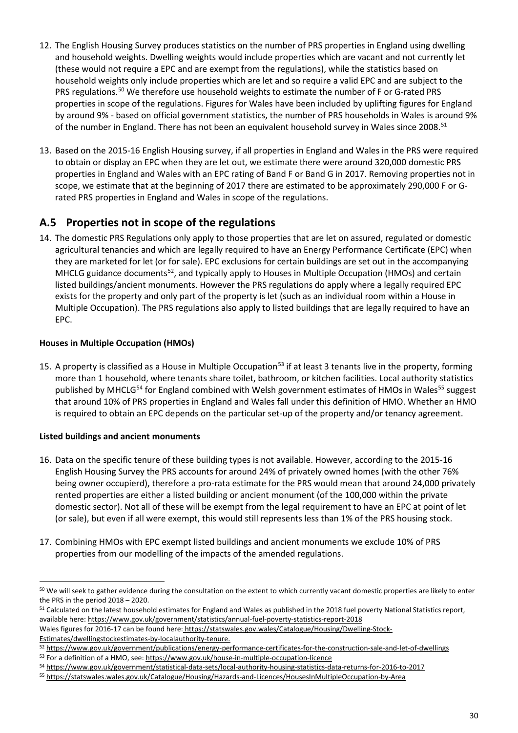- 12. The English Housing Survey produces statistics on the number of PRS properties in England using dwelling and household weights. Dwelling weights would include properties which are vacant and not currently let (these would not require a EPC and are exempt from the regulations), while the statistics based on household weights only include properties which are let and so require a valid EPC and are subject to the PRS regulations.<sup>[50](#page-31-0)</sup> We therefore use household weights to estimate the number of F or G-rated PRS properties in scope of the regulations. Figures for Wales have been included by uplifting figures for England by around 9% - based on official government statistics, the number of PRS households in Wales is around 9% of the number in England. There has not been an equivalent household survey in Wales since 2008.<sup>[51](#page-31-1)</sup>
- 13. Based on the 2015-16 English Housing survey, if all properties in England and Wales in the PRS were required to obtain or display an EPC when they are let out, we estimate there were around 320,000 domestic PRS properties in England and Wales with an EPC rating of Band F or Band G in 2017. Removing properties not in scope, we estimate that at the beginning of 2017 there are estimated to be approximately 290,000 F or Grated PRS properties in England and Wales in scope of the regulations.

## **A.5 Properties not in scope of the regulations**

14. The domestic PRS Regulations only apply to those properties that are let on assured, regulated or domestic agricultural tenancies and which are legally required to have an Energy Performance Certificate (EPC) when they are marketed for let (or for sale). EPC exclusions for certain buildings are set out in the accompanying MHCLG guidance documents<sup>[52](#page-31-2)</sup>, and typically apply to Houses in Multiple Occupation (HMOs) and certain listed buildings/ancient monuments. However the PRS regulations do apply where a legally required EPC exists for the property and only part of the property is let (such as an individual room within a House in Multiple Occupation). The PRS regulations also apply to listed buildings that are legally required to have an EPC.

#### **Houses in Multiple Occupation (HMOs)**

15. A property is classified as a House in Multiple Occupation<sup>[53](#page-31-3)</sup> if at least 3 tenants live in the property, forming more than 1 household, where tenants share toilet, bathroom, or kitchen facilities. Local authority statistics published by MHCLG<sup>[54](#page-31-4)</sup> for England combined with Welsh government estimates of HMOs in Wales<sup>[55](#page-31-5)</sup> suggest that around 10% of PRS properties in England and Wales fall under this definition of HMO. Whether an HMO is required to obtain an EPC depends on the particular set-up of the property and/or tenancy agreement.

#### **Listed buildings and ancient monuments**

- 16. Data on the specific tenure of these building types is not available. However, according to the 2015-16 English Housing Survey the PRS accounts for around 24% of privately owned homes (with the other 76% being owner occupierd), therefore a pro-rata estimate for the PRS would mean that around 24,000 privately rented properties are either a listed building or ancient monument (of the 100,000 within the private domestic sector). Not all of these will be exempt from the legal requirement to have an EPC at point of let (or sale), but even if all were exempt, this would still represents less than 1% of the PRS housing stock.
- 17. Combining HMOs with EPC exempt listed buildings and ancient monuments we exclude 10% of PRS properties from our modelling of the impacts of the amended regulations.

<span id="page-31-3"></span>53 For a definition of a HMO, see[: https://www.gov.uk/house-in-multiple-occupation-licence](https://www.gov.uk/house-in-multiple-occupation-licence)

<span id="page-31-0"></span><sup>&</sup>lt;u>.</u> <sup>50</sup> We will seek to gather evidence during the consultation on the extent to which currently vacant domestic properties are likely to enter the PRS in the period 2018 – 2020.

<span id="page-31-1"></span><sup>&</sup>lt;sup>51</sup> Calculated on the latest household estimates for England and Wales as published in the 2018 fuel poverty National Statistics report, available here: [https://www.gov.uk/government/statistics/annual-fuel-poverty-statistics-report-2018](https://www.gov.uk/government/statistics/annual-fuel-poverty-statistics-report-2016)

Wales figures for 2016-17 can be found here: [https://statswales.gov.wales/Catalogue/Housing/Dwelling](https://statswales.gov.wales/Catalogue/Housing/Dwelling-Stock-Estimates/dwellingstockestimates-by-localauthority-tenure)-Stock-[Estimates/dwellingstockestimates-by-localauthority-tenure.](https://statswales.gov.wales/Catalogue/Housing/Dwelling-Stock-Estimates/dwellingstockestimates-by-localauthority-tenure)

<span id="page-31-2"></span><sup>52</sup> <https://www.gov.uk/government/publications/energy-performance-certificates-for-the-construction-sale-and-let-of-dwellings>

<span id="page-31-4"></span><sup>54</sup> <https://www.gov.uk/government/statistical-data-sets/local-authority-housing-statistics-data-returns-for-2016-to-2017>

<span id="page-31-5"></span><sup>55</sup> [https://statswales.wales.gov.uk/Catalogue/Housing/Hazards](https://statswales.wales.gov.uk/Catalogue/Housing/Hazards-and-Licences/HousesInMultipleOccupation-by-Area)-and-Licences/HousesInMultipleOccupation-by-Area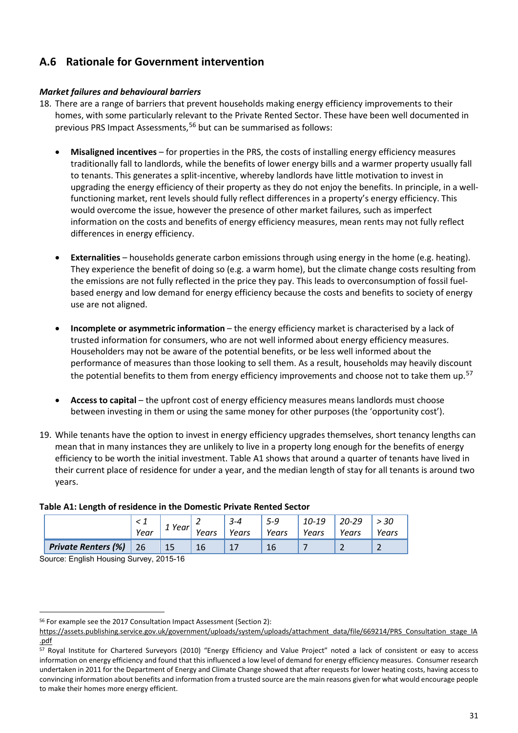## **A.6 Rationale for Government intervention**

#### *Market failures and behavioural barriers*

- 18. There are a range of barriers that prevent households making energy efficiency improvements to their homes, with some particularly relevant to the Private Rented Sector. These have been well documented in previous PRS Impact Assessments,<sup>[56](#page-32-0)</sup> but can be summarised as follows:
	- **Misaligned incentives** for properties in the PRS, the costs of installing energy efficiency measures traditionally fall to landlords, while the benefits of lower energy bills and a warmer property usually fall to tenants. This generates a split-incentive, whereby landlords have little motivation to invest in upgrading the energy efficiency of their property as they do not enjoy the benefits. In principle, in a wellfunctioning market, rent levels should fully reflect differences in a property's energy efficiency. This would overcome the issue, however the presence of other market failures, such as imperfect information on the costs and benefits of energy efficiency measures, mean rents may not fully reflect differences in energy efficiency.
	- **Externalities** households generate carbon emissions through using energy in the home (e.g. heating). They experience the benefit of doing so (e.g. a warm home), but the climate change costs resulting from the emissions are not fully reflected in the price they pay. This leads to overconsumption of fossil fuelbased energy and low demand for energy efficiency because the costs and benefits to society of energy use are not aligned.
	- **Incomplete or asymmetric information** the energy efficiency market is characterised by a lack of trusted information for consumers, who are not well informed about energy efficiency measures. Householders may not be aware of the potential benefits, or be less well informed about the performance of measures than those looking to sell them. As a result, households may heavily discount the potential benefits to them from energy efficiency improvements and choose not to take them up.<sup>[57](#page-32-1)</sup>
	- **Access to capital** the upfront cost of energy efficiency measures means landlords must choose between investing in them or using the same money for other purposes (the 'opportunity cost').
- 19. While tenants have the option to invest in energy efficiency upgrades themselves, short tenancy lengths can mean that in many instances they are unlikely to live in a property long enough for the benefits of energy efficiency to be worth the initial investment. Table A1 shows that around a quarter of tenants have lived in their current place of residence for under a year, and the median length of stay for all tenants is around two years.

#### **Table A1: Length of residence in the Domestic Private Rented Sector**

|                            | Year | 1 Year' | Years | $3 - 4$<br>Years | 5-9<br>Years | 10-19<br>Years | $20 - 29$<br>Years | Years |
|----------------------------|------|---------|-------|------------------|--------------|----------------|--------------------|-------|
| <b>Private Renters (%)</b> | 26   | 15      | 16    |                  |              |                |                    |       |

Source: English Housing Survey, 2015-16

<sup>-</sup><sup>56</sup> For example see the 2017 Consultation Impact Assessment (Section 2):

<span id="page-32-0"></span>https://assets.publishing.service.gov.uk/government/uploads/system/uploads/attachment\_data/file/669214/PRS\_Consultation\_stage\_IA .pdf

<span id="page-32-1"></span><sup>57</sup> Royal Institute for Chartered Surveyors (2010) "Energy Efficiency and Value Project" noted a lack of consistent or easy to access information on energy efficiency and found that this influenced a low level of demand for energy efficiency measures. Consumer research undertaken in 2011 for the Department of Energy and Climate Change showed that after requests for lower heating costs, having access to convincing information about benefits and information from a trusted source are the main reasons given for what would encourage people to make their homes more energy efficient.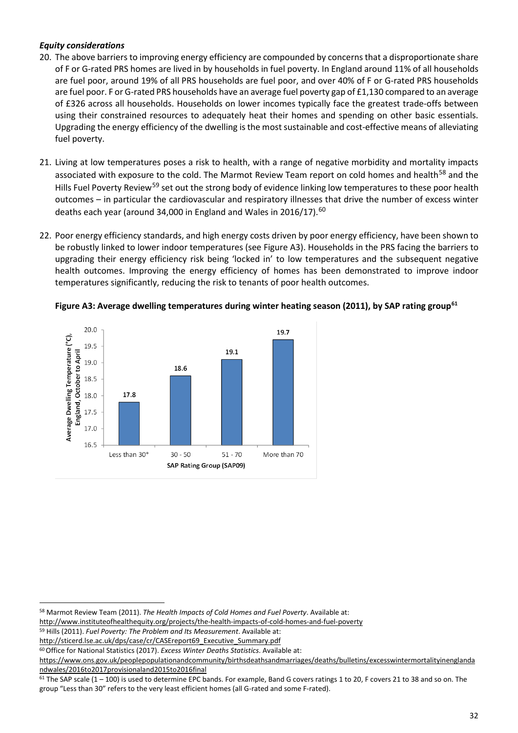#### *Equity considerations*

- 20. The above barriers to improving energy efficiency are compounded by concerns that a disproportionate share of F or G-rated PRS homes are lived in by households in fuel poverty. In England around 11% of all households are fuel poor, around 19% of all PRS households are fuel poor, and over 40% of F or G-rated PRS households are fuel poor. F or G-rated PRS households have an average fuel poverty gap of £1,130 compared to an average of £326 across all households. Households on lower incomes typically face the greatest trade-offs between using their constrained resources to adequately heat their homes and spending on other basic essentials. Upgrading the energy efficiency of the dwelling is the most sustainable and cost-effective means of alleviating fuel poverty.
- 21. Living at low temperatures poses a risk to health, with a range of negative morbidity and mortality impacts associated with exposure to the cold. The Marmot Review Team report on cold homes and health<sup>[58](#page-33-0)</sup> and the Hills Fuel Poverty Review<sup>[59](#page-33-1)</sup> set out the strong body of evidence linking low temperatures to these poor health outcomes – in particular the cardiovascular and respiratory illnesses that drive the number of excess winter deaths each year (around 34,000 in England and Wales in 2016/17).<sup>[60](#page-33-2)</sup>
- 22. Poor energy efficiency standards, and high energy costs driven by poor energy efficiency, have been shown to be robustly linked to lower indoor temperatures (see Figure A3). Households in the PRS facing the barriers to upgrading their energy efficiency risk being 'locked in' to low temperatures and the subsequent negative health outcomes. Improving the energy efficiency of homes has been demonstrated to improve indoor temperatures significantly, reducing the risk to tenants of poor health outcomes.





[http://sticerd.lse.ac.uk/dps/case/cr/CASEreport69\\_Executive\\_Summary.pdf](http://sticerd.lse.ac.uk/dps/case/cr/CASEreport69_Executive_Summary.pdf)

<span id="page-33-0"></span><sup>58</sup> Marmot Review Team (2011). *The Health Impacts of Cold Homes and Fuel Poverty*. Available at:

<http://www.instituteofhealthequity.org/projects/the-health-impacts-of-cold-homes-and-fuel-poverty>

<span id="page-33-1"></span><sup>59</sup> Hills (2011). *Fuel Poverty: The Problem and Its Measurement*. Available at:

<span id="page-33-2"></span><sup>60</sup>Office for National Statistics (2017). *Excess Winter Deaths Statistics*. Available at:

https://www.ons.gov.uk/peoplepopulationandcommunity/birthsdeathsandmarriages/deaths/bulletins/excesswintermortalityinenglanda ndwales/2016to2017provisionaland2015to2016final

<span id="page-33-3"></span> $61$  The SAP scale (1 – 100) is used to determine EPC bands. For example, Band G covers ratings 1 to 20, F covers 21 to 38 and so on. The group "Less than 30" refers to the very least efficient homes (all G-rated and some F-rated).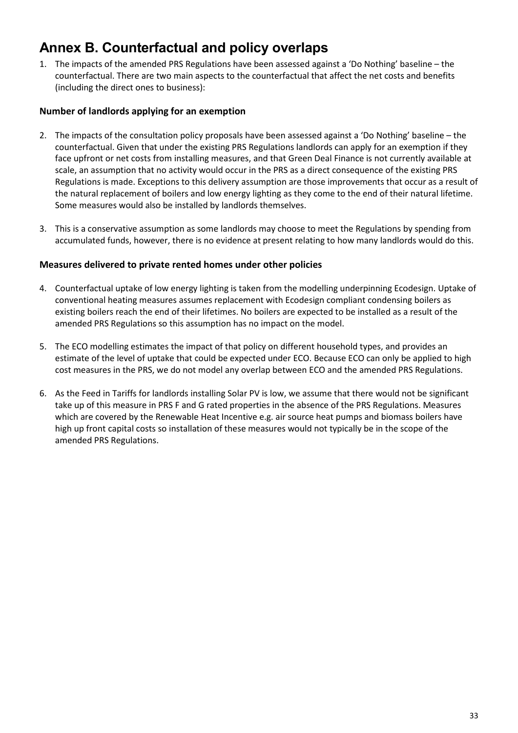## <span id="page-34-0"></span>**Annex B. Counterfactual and policy overlaps**

1. The impacts of the amended PRS Regulations have been assessed against a 'Do Nothing' baseline – the counterfactual. There are two main aspects to the counterfactual that affect the net costs and benefits (including the direct ones to business):

#### **Number of landlords applying for an exemption**

- 2. The impacts of the consultation policy proposals have been assessed against a 'Do Nothing' baseline the counterfactual. Given that under the existing PRS Regulations landlords can apply for an exemption if they face upfront or net costs from installing measures, and that Green Deal Finance is not currently available at scale, an assumption that no activity would occur in the PRS as a direct consequence of the existing PRS Regulations is made. Exceptions to this delivery assumption are those improvements that occur as a result of the natural replacement of boilers and low energy lighting as they come to the end of their natural lifetime. Some measures would also be installed by landlords themselves.
- 3. This is a conservative assumption as some landlords may choose to meet the Regulations by spending from accumulated funds, however, there is no evidence at present relating to how many landlords would do this.

#### **Measures delivered to private rented homes under other policies**

- 4. Counterfactual uptake of low energy lighting is taken from the modelling underpinning Ecodesign. Uptake of conventional heating measures assumes replacement with Ecodesign compliant condensing boilers as existing boilers reach the end of their lifetimes. No boilers are expected to be installed as a result of the amended PRS Regulations so this assumption has no impact on the model.
- 5. The ECO modelling estimates the impact of that policy on different household types, and provides an estimate of the level of uptake that could be expected under ECO. Because ECO can only be applied to high cost measures in the PRS, we do not model any overlap between ECO and the amended PRS Regulations.
- 6. As the Feed in Tariffs for landlords installing Solar PV is low, we assume that there would not be significant take up of this measure in PRS F and G rated properties in the absence of the PRS Regulations. Measures which are covered by the Renewable Heat Incentive e.g. air source heat pumps and biomass boilers have high up front capital costs so installation of these measures would not typically be in the scope of the amended PRS Regulations.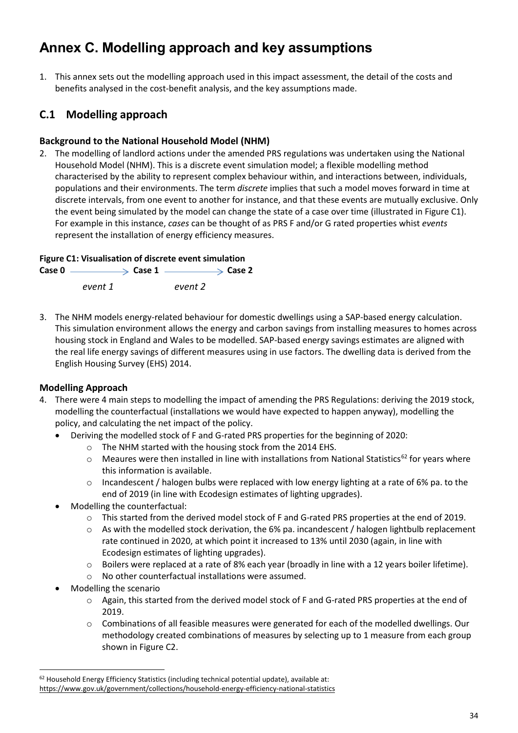## <span id="page-35-1"></span><span id="page-35-0"></span>**Annex C. Modelling approach and key assumptions**

1. This annex sets out the modelling approach used in this impact assessment, the detail of the costs and benefits analysed in the cost-benefit analysis, and the key assumptions made.

## **C.1 Modelling approach**

### **Background to the National Household Model (NHM)**

2. The modelling of landlord actions under the amended PRS regulations was undertaken using the National Household Model (NHM). This is a discrete event simulation model; a flexible modelling method characterised by the ability to represent complex behaviour within, and interactions between, individuals, populations and their environments. The term *discrete* implies that such a model moves forward in time at discrete intervals, from one event to another for instance, and that these events are mutually exclusive. Only the event being simulated by the model can change the state of a case over time (illustrated in Figure C1). For example in this instance, *cases* can be thought of as PRS F and/or G rated properties whist *events* represent the installation of energy efficiency measures.

#### **Figure C1: Visualisation of discrete event simulation**

**Case 0**  $\xrightarrow{\quad}$  **Case 1**  $\xrightarrow{\quad}$  **Case 2** *event 1 event 2*

3. The NHM models energy-related behaviour for domestic dwellings using a SAP-based energy calculation. This simulation environment allows the energy and carbon savings from installing measures to homes across housing stock in England and Wales to be modelled. SAP-based energy savings estimates are aligned with the real life energy savings of different measures using in use factors. The dwelling data is derived from the English Housing Survey (EHS) 2014.

### **Modelling Approach**

- 4. There were 4 main steps to modelling the impact of amending the PRS Regulations: deriving the 2019 stock, modelling the counterfactual (installations we would have expected to happen anyway), modelling the policy, and calculating the net impact of the policy.
	- Deriving the modelled stock of F and G-rated PRS properties for the beginning of 2020:
		- o The NHM started with the housing stock from the 2014 EHS.
		- $\circ$  Meaures were then installed in line with installations from National Statistics<sup>[62](#page-35-2)</sup> for years where this information is available.
		- $\circ$  Incandescent / halogen bulbs were replaced with low energy lighting at a rate of 6% pa. to the end of 2019 (in line with Ecodesign estimates of lighting upgrades).
	- Modelling the counterfactual:
		- o This started from the derived model stock of F and G-rated PRS properties at the end of 2019.
		- $\circ$  As with the modelled stock derivation, the 6% pa. incandescent / halogen lightbulb replacement rate continued in 2020, at which point it increased to 13% until 2030 (again, in line with Ecodesign estimates of lighting upgrades).
		- o Boilers were replaced at a rate of 8% each year (broadly in line with a 12 years boiler lifetime).
		- o No other counterfactual installations were assumed.
	- Modelling the scenario

- o Again, this started from the derived model stock of F and G-rated PRS properties at the end of 2019.
- o Combinations of all feasible measures were generated for each of the modelled dwellings. Our methodology created combinations of measures by selecting up to 1 measure from each group shown in Figure C2.

<span id="page-35-2"></span><sup>62</sup> Household Energy Efficiency Statistics (including technical potential update), available at: <https://www.gov.uk/government/collections/household-energy-efficiency-national-statistics>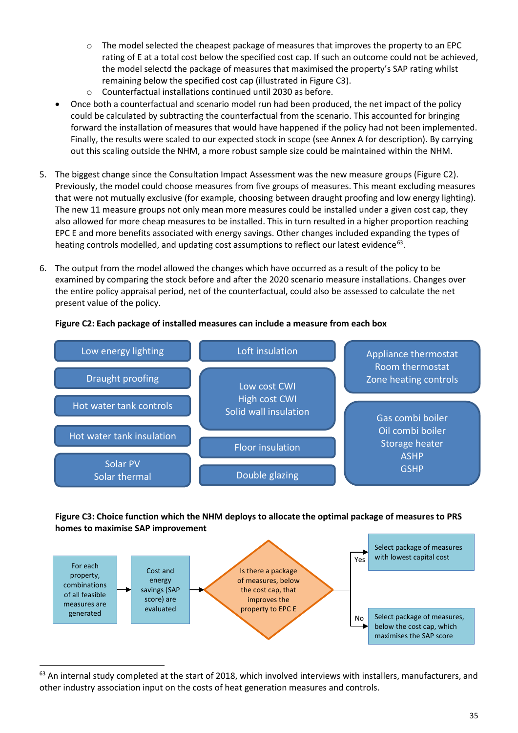- $\circ$  The model selected the cheapest package of measures that improves the property to an EPC rating of E at a total cost below the specified cost cap. If such an outcome could not be achieved, the model selectd the package of measures that maximised the property's SAP rating whilst remaining below the specified cost cap (illustrated in Figure C3).
- o Counterfactual installations continued until 2030 as before.
- Once both a counterfactual and scenario model run had been produced, the net impact of the policy could be calculated by subtracting the counterfactual from the scenario. This accounted for bringing forward the installation of measures that would have happened if the policy had not been implemented. Finally, the results were scaled to our expected stock in scope (se[e Annex A](#page-28-0) for description). By carrying out this scaling outside the NHM, a more robust sample size could be maintained within the NHM.
- 5. The biggest change since the Consultation Impact Assessment was the new measure groups (Figure C2). Previously, the model could choose measures from five groups of measures. This meant excluding measures that were not mutually exclusive (for example, choosing between draught proofing and low energy lighting). The new 11 measure groups not only mean more measures could be installed under a given cost cap, they also allowed for more cheap measures to be installed. This in turn resulted in a higher proportion reaching EPC E and more benefits associated with energy savings. Other changes included expanding the types of heating controls modelled, and updating cost assumptions to reflect our latest evidence<sup>[63](#page-36-0)</sup>.
- 6. The output from the model allowed the changes which have occurred as a result of the policy to be examined by comparing the stock before and after the 2020 scenario measure installations. Changes over the entire policy appraisal period, net of the counterfactual, could also be assessed to calculate the net present value of the policy.



#### **Figure C2: Each package of installed measures can include a measure from each box**

#### **Figure C3: Choice function which the NHM deploys to allocate the optimal package of measures to PRS homes to maximise SAP improvement**



<span id="page-36-0"></span><sup>63</sup> An internal study completed at the start of 2018, which involved interviews with installers, manufacturers, and other industry association input on the costs of heat generation measures and controls.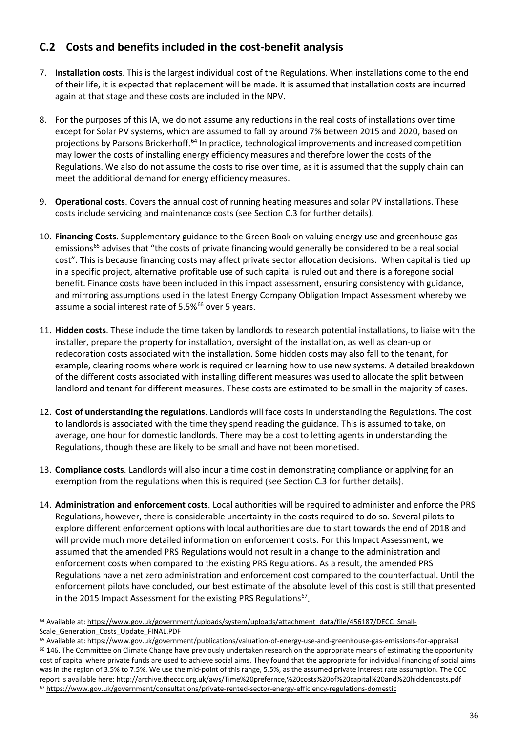## **C.2 Costs and benefits included in the cost-benefit analysis**

- 7. **Installation costs**. This is the largest individual cost of the Regulations. When installations come to the end of their life, it is expected that replacement will be made. It is assumed that installation costs are incurred again at that stage and these costs are included in the NPV.
- 8. For the purposes of this IA, we do not assume any reductions in the real costs of installations over time except for Solar PV systems, which are assumed to fall by around 7% between 2015 and 2020, based on projections by Parsons Brickerhoff.<sup>[64](#page-37-0)</sup> In practice, technological improvements and increased competition may lower the costs of installing energy efficiency measures and therefore lower the costs of the Regulations. We also do not assume the costs to rise over time, as it is assumed that the supply chain can meet the additional demand for energy efficiency measures.
- 9. **Operational costs**. Covers the annual cost of running heating measures and solar PV installations. These costs include servicing and maintenance costs (see Section [C.3](#page-38-0) for further details).
- 10. **Financing Costs**. Supplementary guidance to the Green Book on valuing energy use and greenhouse gas emissions<sup>[65](#page-37-1)</sup> advises that "the costs of private financing would generally be considered to be a real social cost". This is because financing costs may affect private sector allocation decisions. When capital is tied up in a specific project, alternative profitable use of such capital is ruled out and there is a foregone social benefit. Finance costs have been included in this impact assessment, ensuring consistency with guidance, and mirroring assumptions used in the latest Energy Company Obligation Impact Assessment whereby we assume a social interest rate of 5.5%<sup>[66](#page-37-2)</sup> over 5 years.
- 11. **Hidden costs**. These include the time taken by landlords to research potential installations, to liaise with the installer, prepare the property for installation, oversight of the installation, as well as clean-up or redecoration costs associated with the installation. Some hidden costs may also fall to the tenant, for example, clearing rooms where work is required or learning how to use new systems. A detailed breakdown of the different costs associated with installing different measures was used to allocate the split between landlord and tenant for different measures. These costs are estimated to be small in the majority of cases.
- 12. **Cost of understanding the regulations**. Landlords will face costs in understanding the Regulations. The cost to landlords is associated with the time they spend reading the guidance. This is assumed to take, on average, one hour for domestic landlords. There may be a cost to letting agents in understanding the Regulations, though these are likely to be small and have not been monetised.
- 13. **Compliance costs**. Landlords will also incur a time cost in demonstrating compliance or applying for an exemption from the regulations when this is required (see Section [C.3](#page-38-0) for further details).
- 14. **Administration and enforcement costs**. Local authorities will be required to administer and enforce the PRS Regulations, however, there is considerable uncertainty in the costs required to do so. Several pilots to explore different enforcement options with local authorities are due to start towards the end of 2018 and will provide much more detailed information on enforcement costs. For this Impact Assessment, we assumed that the amended PRS Regulations would not result in a change to the administration and enforcement costs when compared to the existing PRS Regulations. As a result, the amended PRS Regulations have a net zero administration and enforcement cost compared to the counterfactual. Until the enforcement pilots have concluded, our best estimate of the absolute level of this cost is still that presented in the 2015 Impact Assessment for the existing PRS Regulations $67$ .

<span id="page-37-0"></span><sup>64</sup> Available at: [https://www.gov.uk/government/uploads/system/uploads/attachment\\_data/file/456187/DECC\\_Small](https://www.gov.uk/government/uploads/system/uploads/attachment_data/file/456187/DECC_Small-Scale_Generation_Costs_Update_FINAL.PDF)-Scale Generation Costs Update FINAL.PDF

<span id="page-37-3"></span><span id="page-37-2"></span><span id="page-37-1"></span><sup>65</sup> Available at[: https://www.gov.uk/government/publications/valuation-of-energy-use-and-greenhouse-gas-emissions-for-appraisal](https://www.gov.uk/government/publications/valuation-of-energy-use-and-greenhouse-gas-emissions-for-appraisal) <sup>66</sup> 146. The Committee on Climate Change have previously undertaken research on the appropriate means of estimating the opportunity cost of capital where private funds are used to achieve social aims. They found that the appropriate for individual financing of social aims was in the region of 3.5% to 7.5%. We use the mid-point of this range, 5.5%, as the assumed private interest rate assumption. The CCC report is available here:<http://archive.theccc.org.uk/aws/Time%20prefernce,%20costs%20of%20capital%20and%20hiddencosts.pdf> <sup>67</sup> <https://www.gov.uk/government/consultations/private-rented-sector-energy-efficiency-regulations-domestic>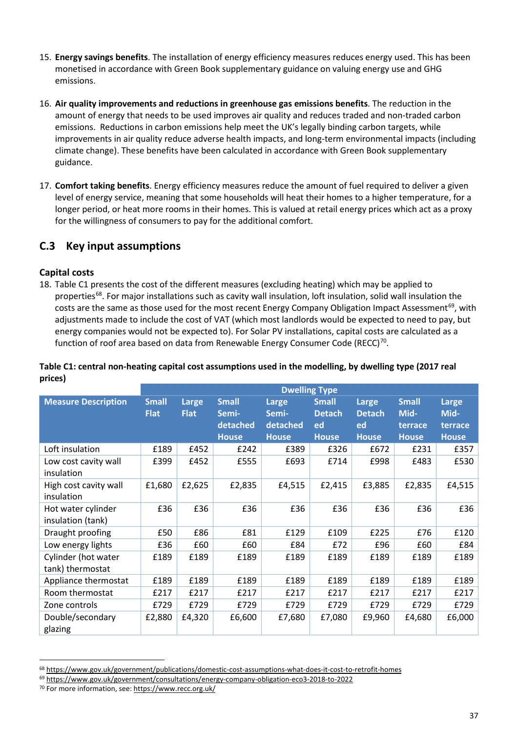- 15. **Energy savings benefits**. The installation of energy efficiency measures reduces energy used. This has been monetised in accordance with Green Book supplementary guidance on valuing energy use and GHG emissions.
- 16. **Air quality improvements and reductions in greenhouse gas emissions benefits**. The reduction in the amount of energy that needs to be used improves air quality and reduces traded and non-traded carbon emissions. Reductions in carbon emissions help meet the UK's legally binding carbon targets, while improvements in air quality reduce adverse health impacts, and long-term environmental impacts (including climate change). These benefits have been calculated in accordance with Green Book supplementary guidance.
- 17. **Comfort taking benefits**. Energy efficiency measures reduce the amount of fuel required to deliver a given level of energy service, meaning that some households will heat their homes to a higher temperature, for a longer period, or heat more rooms in their homes. This is valued at retail energy prices which act as a proxy for the willingness of consumers to pay for the additional comfort.

### <span id="page-38-0"></span>**C.3 Key input assumptions**

#### **Capital costs**

18. Table C1 presents the cost of the different measures (excluding heating) which may be applied to properties<sup>[68](#page-38-1)</sup>. For major installations such as cavity wall insulation, loft insulation, solid wall insulation the costs are the same as those used for the most recent Energy Company Obligation Impact Assessment<sup>[69](#page-38-2)</sup>, with adjustments made to include the cost of VAT (which most landlords would be expected to need to pay, but energy companies would not be expected to). For Solar PV installations, capital costs are calculated as a function of roof area based on data from Renewable Energy Consumer Code (RECC)<sup>[70](#page-38-3)</sup>.

|                            | <b>Dwelling Type</b> |             |              |              |               |               |              |              |
|----------------------------|----------------------|-------------|--------------|--------------|---------------|---------------|--------------|--------------|
| <b>Measure Description</b> | <b>Small</b>         | Large       | <b>Small</b> | Large        | <b>Small</b>  | Large         | <b>Small</b> | Large        |
|                            | <b>Flat</b>          | <b>Flat</b> | Semi-        | Semi-        | <b>Detach</b> | <b>Detach</b> | Mid-         | Mid-         |
|                            |                      |             | detached     | detached     | ed            | ed            | terrace      | terrace      |
|                            |                      |             | <b>House</b> | <b>House</b> | <b>House</b>  | <b>House</b>  | <b>House</b> | <b>House</b> |
| Loft insulation            | £189                 | £452        | £242         | £389         | £326          | £672          | £231         | £357         |
| Low cost cavity wall       | £399                 | £452        | £555         | £693         | £714          | £998          | £483         | £530         |
| insulation                 |                      |             |              |              |               |               |              |              |
| High cost cavity wall      | £1,680               | £2,625      | £2,835       | £4,515       | £2,415        | £3,885        | £2,835       | £4,515       |
| insulation                 |                      |             |              |              |               |               |              |              |
| Hot water cylinder         | £36                  | £36         | £36          | £36          | £36           | £36           | £36          | £36          |
| insulation (tank)          |                      |             |              |              |               |               |              |              |
| Draught proofing           | £50                  | £86         | £81          | £129         | £109          | £225          | £76          | £120         |
| Low energy lights          | £36                  | £60         | £60          | £84          | £72           | £96           | £60          | £84          |
| Cylinder (hot water        | £189                 | £189        | £189         | £189         | £189          | £189          | £189         | £189         |
| tank) thermostat           |                      |             |              |              |               |               |              |              |
| Appliance thermostat       | £189                 | £189        | £189         | £189         | £189          | £189          | £189         | £189         |
| Room thermostat            | £217                 | £217        | £217         | £217         | £217          | £217          | £217         | £217         |
| Zone controls              | £729                 | £729        | £729         | £729         | £729          | £729          | £729         | £729         |
| Double/secondary           | £2,880               | £4,320      | £6,600       | £7,680       | £7,080        | £9,960        | £4,680       | £6,000       |
| glazing                    |                      |             |              |              |               |               |              |              |

#### **Table C1: central non-heating capital cost assumptions used in the modelling, by dwelling type (2017 real prices)**

<u>.</u>

<span id="page-38-1"></span><sup>68</sup> <https://www.gov.uk/government/publications/domestic-cost-assumptions-what-does-it-cost-to-retrofit-homes>

<span id="page-38-2"></span><sup>69</sup> <https://www.gov.uk/government/consultations/energy-company-obligation-eco3-2018-to-2022>

<span id="page-38-3"></span><sup>70</sup> For more information, see:<https://www.recc.org.uk/>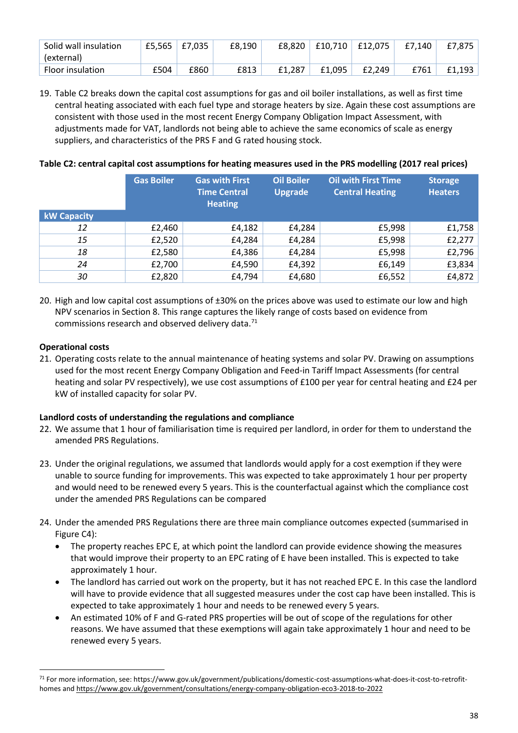| Solid wall insulation   |      | £5,565   £7,035 | £8.190 | £8.820 | £10.710 | £12.075 | £7.140 | £7.875 |
|-------------------------|------|-----------------|--------|--------|---------|---------|--------|--------|
| (external)              |      |                 |        |        |         |         |        |        |
| <b>Floor insulation</b> | £504 | £860            | £813   | £1.287 | £1.095  | £2.249  | £761   | £1.193 |

19. Table C2 breaks down the capital cost assumptions for gas and oil boiler installations, as well as first time central heating associated with each fuel type and storage heaters by size. Again these cost assumptions are consistent with those used in the most recent Energy Company Obligation Impact Assessment, with adjustments made for VAT, landlords not being able to achieve the same economics of scale as energy suppliers, and characteristics of the PRS F and G rated housing stock.

#### **Table C2: central capital cost assumptions for heating measures used in the PRS modelling (2017 real prices)**

|                    | <b>Gas Boiler</b> | <b>Gas with First</b><br><b>Time Central</b><br><b>Heating</b> | <b>Oil Boiler</b><br><b>Upgrade</b> | <b>Oil with First Time</b><br><b>Central Heating</b> | <b>Storage</b><br><b>Heaters</b> |
|--------------------|-------------------|----------------------------------------------------------------|-------------------------------------|------------------------------------------------------|----------------------------------|
| <b>kW Capacity</b> |                   |                                                                |                                     |                                                      |                                  |
| 12                 | £2,460            | £4,182                                                         | £4,284                              | £5,998                                               | £1,758                           |
| 15                 | £2,520            | £4,284                                                         | £4,284                              | £5,998                                               | £2,277                           |
| 18                 | £2,580            | £4,386                                                         | £4,284                              | £5,998                                               | £2,796                           |
| 24                 | £2,700            | £4,590                                                         | £4,392                              | £6,149                                               | £3,834                           |
| 30                 | £2,820            | £4,794                                                         | £4,680                              | £6,552                                               | £4,872                           |

20. High and low capital cost assumptions of ±30% on the prices above was used to estimate our low and high NPV scenarios in Section [8.](#page-24-1) This range captures the likely range of costs based on evidence from commissions research and observed delivery data.<sup>[71](#page-39-0)</sup>

#### **Operational costs**

-

21. Operating costs relate to the annual maintenance of heating systems and solar PV. Drawing on assumptions used for the most recent Energy Company Obligation and Feed-in Tariff Impact Assessments (for central heating and solar PV respectively), we use cost assumptions of £100 per year for central heating and £24 per kW of installed capacity for solar PV.

#### **Landlord costs of understanding the regulations and compliance**

- 22. We assume that 1 hour of familiarisation time is required per landlord, in order for them to understand the amended PRS Regulations.
- 23. Under the original regulations, we assumed that landlords would apply for a cost exemption if they were unable to source funding for improvements. This was expected to take approximately 1 hour per property and would need to be renewed every 5 years. This is the counterfactual against which the compliance cost under the amended PRS Regulations can be compared
- 24. Under the amended PRS Regulations there are three main compliance outcomes expected (summarised in Figure C4):
	- The property reaches EPC E, at which point the landlord can provide evidence showing the measures that would improve their property to an EPC rating of E have been installed. This is expected to take approximately 1 hour.
	- The landlord has carried out work on the property, but it has not reached EPC E. In this case the landlord will have to provide evidence that all suggested measures under the cost cap have been installed. This is expected to take approximately 1 hour and needs to be renewed every 5 years.
	- An estimated 10% of F and G-rated PRS properties will be out of scope of the regulations for other reasons. We have assumed that these exemptions will again take approximately 1 hour and need to be renewed every 5 years.

<span id="page-39-0"></span><sup>71</sup> For more information, see: [https://www.gov.uk/government/publications/domestic-cost-assumptions-what-does-it-cost-to-retrofit](https://www.gov.uk/government/publications/domestic-cost-assumptions-what-does-it-cost-to-retrofit-homes)[homes](https://www.gov.uk/government/publications/domestic-cost-assumptions-what-does-it-cost-to-retrofit-homes) and<https://www.gov.uk/government/consultations/energy-company-obligation-eco3-2018-to-2022>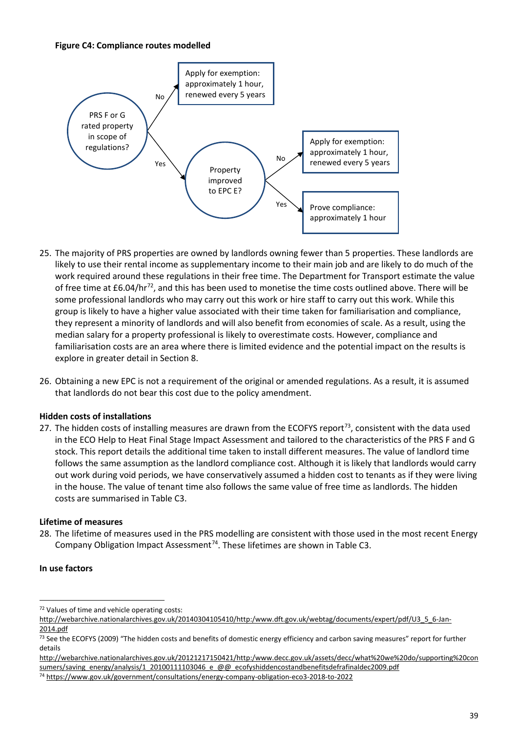#### **Figure C4: Compliance routes modelled**



- 25. The majority of PRS properties are owned by landlords owning fewer than 5 properties. These landlords are likely to use their rental income as supplementary income to their main job and are likely to do much of the work required around these regulations in their free time. The Department for Transport estimate the value of free time at  $£6.04/hr^{72}$ , and this has been used to monetise the time costs outlined above. There will be some professional landlords who may carry out this work or hire staff to carry out this work. While this group is likely to have a higher value associated with their time taken for familiarisation and compliance, they represent a minority of landlords and will also benefit from economies of scale. As a result, using the median salary for a property professional is likely to overestimate costs. However, compliance and familiarisation costs are an area where there is limited evidence and the potential impact on the results is explore in greater detail in Sectio[n 8.](#page-24-1)
- 26. Obtaining a new EPC is not a requirement of the original or amended regulations. As a result, it is assumed that landlords do not bear this cost due to the policy amendment.

#### **Hidden costs of installations**

27. The hidden costs of installing measures are drawn from the ECOFYS report<sup>[73](#page-40-1)</sup>, consistent with the data used in the ECO Help to Heat Final Stage Impact Assessment and tailored to the characteristics of the PRS F and G stock. This report details the additional time taken to install different measures. The value of landlord time follows the same assumption as the landlord compliance cost. Although it is likely that landlords would carry out work during void periods, we have conservatively assumed a hidden cost to tenants as if they were living in the house. The value of tenant time also follows the same value of free time as landlords. The hidden costs are summarised in Table C3.

#### **Lifetime of measures**

<span id="page-40-3"></span>28. The lifetime of measures used in the PRS modelling are consistent with those used in the most recent Energy Company Obligation Impact Assessment<sup>74</sup>. These lifetimes are shown in Table C3.

#### **In use factors**

<sup>&</sup>lt;u>.</u> <sup>72</sup> Values of time and vehicle operating costs:

<span id="page-40-0"></span>[http://webarchive.nationalarchives.gov.uk/20140304105410/http:/www.dft.gov.uk/webtag/documents/expert/pdf/U3\\_5\\_6-](http://webarchive.nationalarchives.gov.uk/20140304105410/http:/www.dft.gov.uk/webtag/documents/expert/pdf/U3_5_6-Jan-2014.pdf)Jan-[2014.pdf](http://webarchive.nationalarchives.gov.uk/20140304105410/http:/www.dft.gov.uk/webtag/documents/expert/pdf/U3_5_6-Jan-2014.pdf)

<span id="page-40-1"></span><sup>&</sup>lt;sup>73</sup> See the ECOFYS (2009) "The hidden costs and benefits of domestic energy efficiency and carbon saving measures" report for further details

[http://webarchive.nationalarchives.gov.uk/20121217150421/http:/www.decc.gov.uk/assets/decc/what%20we%20do/supporting%20con](http://webarchive.nationalarchives.gov.uk/20121217150421/http:/www.decc.gov.uk/assets/decc/what%20we%20do/supporting%20consumers/saving_energy/analysis/1_20100111103046_e_@@_ecofyshiddencostandbenefitsdefrafinaldec2009.pdf) [sumers/saving\\_energy/analysis/1\\_20100111103046\\_e\\_@@\\_ecofyshiddencostandbenefitsdefrafinaldec2009.pdf](http://webarchive.nationalarchives.gov.uk/20121217150421/http:/www.decc.gov.uk/assets/decc/what%20we%20do/supporting%20consumers/saving_energy/analysis/1_20100111103046_e_@@_ecofyshiddencostandbenefitsdefrafinaldec2009.pdf)

<span id="page-40-2"></span><sup>74</sup> <https://www.gov.uk/government/consultations/energy-company-obligation-eco3-2018-to-2022>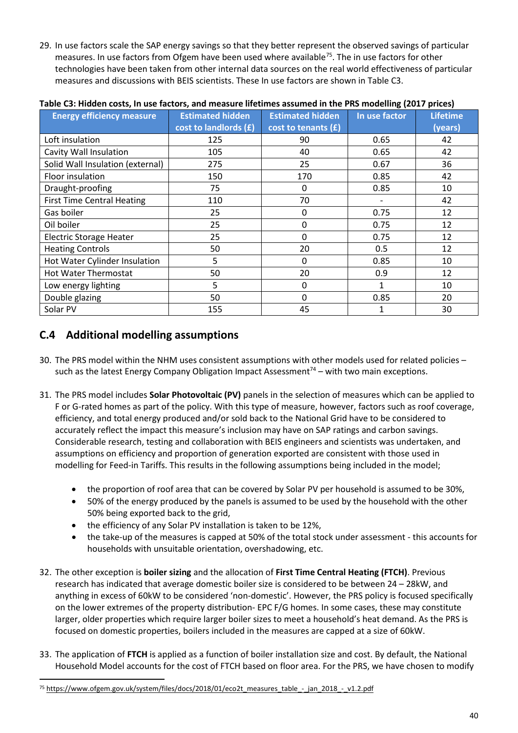29. In use factors scale the SAP energy savings so that they better represent the observed savings of particular measures. In use factors from Ofgem have been used where available<sup>75</sup>. The in use factors for other technologies have been taken from other internal data sources on the real world effectiveness of particular measures and discussions with BEIS scientists. These In use factors are shown in Table C3.

| <b>Energy efficiency measure</b>  | <b>Estimated hidden</b> | <b>Estimated hidden</b> | In use factor | <b>Lifetime</b> |
|-----------------------------------|-------------------------|-------------------------|---------------|-----------------|
|                                   | cost to landlords (£)   | cost to tenants (£)     |               | (years)         |
| Loft insulation                   | 125                     | 90                      | 0.65          | 42              |
| Cavity Wall Insulation            | 105                     | 40                      | 0.65          | 42              |
| Solid Wall Insulation (external)  | 275                     | 25                      | 0.67          | 36              |
| Floor insulation                  | 150                     | 170                     | 0.85          | 42              |
| Draught-proofing                  | 75                      | 0                       | 0.85          | 10              |
| <b>First Time Central Heating</b> | 110                     | 70                      |               | 42              |
| Gas boiler                        | 25                      | 0                       | 0.75          | 12              |
| Oil boiler                        | 25                      | 0                       | 0.75          | 12              |
| <b>Electric Storage Heater</b>    | 25                      | 0                       | 0.75          | 12              |
| <b>Heating Controls</b>           | 50                      | 20                      | 0.5           | 12              |
| Hot Water Cylinder Insulation     | 5                       | 0                       | 0.85          | 10              |
| <b>Hot Water Thermostat</b>       | 50                      | 20                      | 0.9           | 12              |
| Low energy lighting               | 5                       | 0                       |               | 10              |
| Double glazing                    | 50                      | 0                       | 0.85          | 20              |
| Solar PV                          | 155                     | 45                      |               | 30              |

#### **Table C3: Hidden costs, In use factors, and measure lifetimes assumed in the PRS modelling (2017 prices)**

## **C.4 Additional modelling assumptions**

- 30. The PRS model within the NHM uses consistent assumptions with other models used for related policies such as the latest Energy Company Obligation Impact Assessment<sup>[74](#page-40-3)</sup> – with two main exceptions.
- 31. The PRS model includes **Solar Photovoltaic (PV)** panels in the selection of measures which can be applied to F or G-rated homes as part of the policy. With this type of measure, however, factors such as roof coverage, efficiency, and total energy produced and/or sold back to the National Grid have to be considered to accurately reflect the impact this measure's inclusion may have on SAP ratings and carbon savings. Considerable research, testing and collaboration with BEIS engineers and scientists was undertaken, and assumptions on efficiency and proportion of generation exported are consistent with those used in modelling for Feed-in Tariffs. This results in the following assumptions being included in the model;
	- the proportion of roof area that can be covered by Solar PV per household is assumed to be 30%,
	- 50% of the energy produced by the panels is assumed to be used by the household with the other 50% being exported back to the grid,
	- the efficiency of any Solar PV installation is taken to be 12%,
	- the take-up of the measures is capped at 50% of the total stock under assessment this accounts for households with unsuitable orientation, overshadowing, etc.
- 32. The other exception is **boiler sizing** and the allocation of **First Time Central Heating (FTCH)**. Previous research has indicated that average domestic boiler size is considered to be between 24 – 28kW, and anything in excess of 60kW to be considered 'non-domestic'. However, the PRS policy is focused specifically on the lower extremes of the property distribution- EPC F/G homes. In some cases, these may constitute larger, older properties which require larger boiler sizes to meet a household's heat demand. As the PRS is focused on domestic properties, boilers included in the measures are capped at a size of 60kW.
- 33. The application of **FTCH** is applied as a function of boiler installation size and cost. By default, the National Household Model accounts for the cost of FTCH based on floor area. For the PRS, we have chosen to modify

<span id="page-41-0"></span><sup>75</sup> [https://www.ofgem.gov.uk/system/files/docs/2018/01/eco2t\\_measures\\_table\\_-\\_jan\\_2018\\_-\\_v1.2.pdf](https://www.ofgem.gov.uk/system/files/docs/2018/01/eco2t_measures_table_-_jan_2018_-_v1.2.pdf)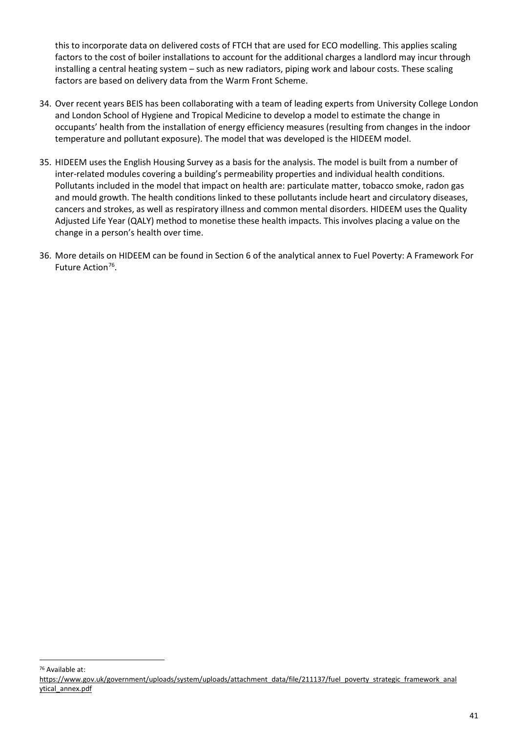this to incorporate data on delivered costs of FTCH that are used for ECO modelling. This applies scaling factors to the cost of boiler installations to account for the additional charges a landlord may incur through installing a central heating system – such as new radiators, piping work and labour costs. These scaling factors are based on delivery data from the Warm Front Scheme.

- 34. Over recent years BEIS has been collaborating with a team of leading experts from University College London and London School of Hygiene and Tropical Medicine to develop a model to estimate the change in occupants' health from the installation of energy efficiency measures (resulting from changes in the indoor temperature and pollutant exposure). The model that was developed is the HIDEEM model.
- 35. HIDEEM uses the English Housing Survey as a basis for the analysis. The model is built from a number of inter-related modules covering a building's permeability properties and individual health conditions. Pollutants included in the model that impact on health are: particulate matter, tobacco smoke, radon gas and mould growth. The health conditions linked to these pollutants include heart and circulatory diseases, cancers and strokes, as well as respiratory illness and common mental disorders. HIDEEM uses the Quality Adjusted Life Year (QALY) method to monetise these health impacts. This involves placing a value on the change in a person's health over time.
- 36. More details on HIDEEM can be found in Section 6 of the analytical annex to Fuel Poverty: A Framework For Future Action<sup>76</sup>.

<u>.</u>

<span id="page-42-0"></span><sup>76</sup> Available at:

[https://www.gov.uk/government/uploads/system/uploads/attachment\\_data/file/211137/fuel\\_poverty\\_strategic\\_framework\\_anal](https://www.gov.uk/government/uploads/system/uploads/attachment_data/file/211137/fuel_poverty_strategic_framework_anal) [ytical\\_annex.pdf](https://www.gov.uk/government/uploads/system/uploads/attachment_data/file/211137/fuel_poverty_strategic_framework_anal)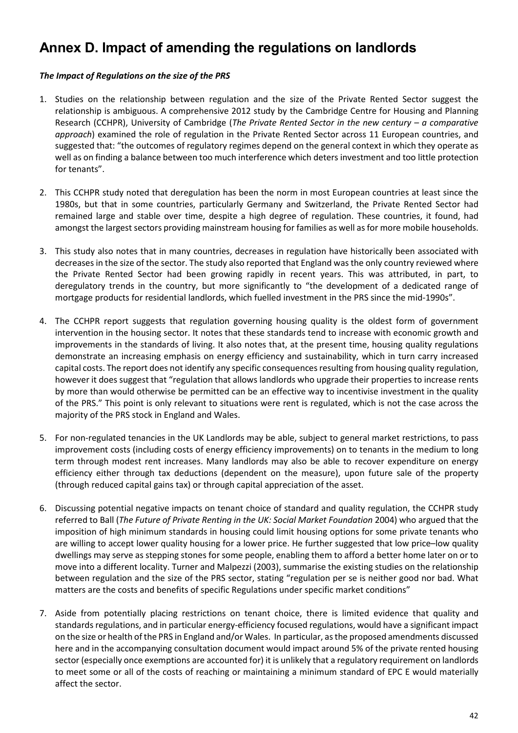## <span id="page-43-0"></span>**Annex D. Impact of amending the regulations on landlords**

#### *The Impact of Regulations on the size of the PRS*

- 1. Studies on the relationship between regulation and the size of the Private Rented Sector suggest the relationship is ambiguous. A comprehensive 2012 study by the Cambridge Centre for Housing and Planning Research (CCHPR), University of Cambridge (*The Private Rented Sector in the new century – a comparative approach*) examined the role of regulation in the Private Rented Sector across 11 European countries, and suggested that: "the outcomes of regulatory regimes depend on the general context in which they operate as well as on finding a balance between too much interference which deters investment and too little protection for tenants".
- 2. This CCHPR study noted that deregulation has been the norm in most European countries at least since the 1980s, but that in some countries, particularly Germany and Switzerland, the Private Rented Sector had remained large and stable over time, despite a high degree of regulation. These countries, it found, had amongst the largest sectors providing mainstream housing for families as well as for more mobile households.
- 3. This study also notes that in many countries, decreases in regulation have historically been associated with decreases in the size of the sector. The study also reported that England was the only country reviewed where the Private Rented Sector had been growing rapidly in recent years. This was attributed, in part, to deregulatory trends in the country, but more significantly to "the development of a dedicated range of mortgage products for residential landlords, which fuelled investment in the PRS since the mid-1990s".
- 4. The CCHPR report suggests that regulation governing housing quality is the oldest form of government intervention in the housing sector. It notes that these standards tend to increase with economic growth and improvements in the standards of living. It also notes that, at the present time, housing quality regulations demonstrate an increasing emphasis on energy efficiency and sustainability, which in turn carry increased capital costs. The report does not identify any specific consequences resulting from housing quality regulation, however it does suggest that "regulation that allows landlords who upgrade their properties to increase rents by more than would otherwise be permitted can be an effective way to incentivise investment in the quality of the PRS." This point is only relevant to situations were rent is regulated, which is not the case across the majority of the PRS stock in England and Wales.
- 5. For non-regulated tenancies in the UK Landlords may be able, subject to general market restrictions, to pass improvement costs (including costs of energy efficiency improvements) on to tenants in the medium to long term through modest rent increases. Many landlords may also be able to recover expenditure on energy efficiency either through tax deductions (dependent on the measure), upon future sale of the property (through reduced capital gains tax) or through capital appreciation of the asset.
- 6. Discussing potential negative impacts on tenant choice of standard and quality regulation, the CCHPR study referred to Ball (*The Future of Private Renting in the UK: Social Market Foundation* 2004) who argued that the imposition of high minimum standards in housing could limit housing options for some private tenants who are willing to accept lower quality housing for a lower price. He further suggested that low price–low quality dwellings may serve as stepping stones for some people, enabling them to afford a better home later on or to move into a different locality. Turner and Malpezzi (2003), summarise the existing studies on the relationship between regulation and the size of the PRS sector, stating "regulation per se is neither good nor bad. What matters are the costs and benefits of specific Regulations under specific market conditions"
- 7. Aside from potentially placing restrictions on tenant choice, there is limited evidence that quality and standards regulations, and in particular energy-efficiency focused regulations, would have a significant impact on the size or health of the PRS in England and/or Wales. In particular, as the proposed amendments discussed here and in the accompanying consultation document would impact around 5% of the private rented housing sector (especially once exemptions are accounted for) it is unlikely that a regulatory requirement on landlords to meet some or all of the costs of reaching or maintaining a minimum standard of EPC E would materially affect the sector.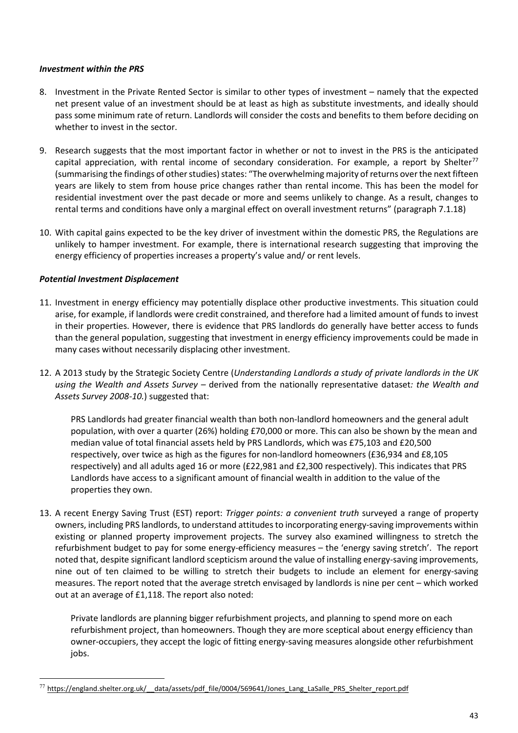#### *Investment within the PRS*

- 8. Investment in the Private Rented Sector is similar to other types of investment namely that the expected net present value of an investment should be at least as high as substitute investments, and ideally should pass some minimum rate of return. Landlords will consider the costs and benefits to them before deciding on whether to invest in the sector.
- 9. Research suggests that the most important factor in whether or not to invest in the PRS is the anticipated capital appreciation, with rental income of secondary consideration. For example, a report by Shelter<sup>[77](#page-44-0)</sup> (summarising the findings of other studies) states: "The overwhelming majority of returns over the next fifteen years are likely to stem from house price changes rather than rental income. This has been the model for residential investment over the past decade or more and seems unlikely to change. As a result, changes to rental terms and conditions have only a marginal effect on overall investment returns" (paragraph 7.1.18)
- 10. With capital gains expected to be the key driver of investment within the domestic PRS, the Regulations are unlikely to hamper investment. For example, there is international research suggesting that improving the energy efficiency of properties increases a property's value and/ or rent levels.

#### *Potential Investment Displacement*

- 11. Investment in energy efficiency may potentially displace other productive investments. This situation could arise, for example, if landlords were credit constrained, and therefore had a limited amount of funds to invest in their properties. However, there is evidence that PRS landlords do generally have better access to funds than the general population, suggesting that investment in energy efficiency improvements could be made in many cases without necessarily displacing other investment.
- 12. A 2013 study by the Strategic Society Centre (*Understanding Landlords a study of private landlords in the UK using the Wealth and Assets Survey –* derived from the nationally representative dataset*: the Wealth and Assets Survey 2008-10.*) suggested that:

PRS Landlords had greater financial wealth than both non-landlord homeowners and the general adult population, with over a quarter (26%) holding £70,000 or more. This can also be shown by the mean and median value of total financial assets held by PRS Landlords, which was £75,103 and £20,500 respectively, over twice as high as the figures for non-landlord homeowners (£36,934 and £8,105 respectively) and all adults aged 16 or more (£22,981 and £2,300 respectively). This indicates that PRS Landlords have access to a significant amount of financial wealth in addition to the value of the properties they own.

13. A recent Energy Saving Trust (EST) report: *Trigger points: a convenient truth* surveyed a range of property owners, including PRS landlords, to understand attitudes to incorporating energy-saving improvements within existing or planned property improvement projects. The survey also examined willingness to stretch the refurbishment budget to pay for some energy-efficiency measures – the 'energy saving stretch'. The report noted that, despite significant landlord scepticism around the value of installing energy-saving improvements, nine out of ten claimed to be willing to stretch their budgets to include an element for energy-saving measures. The report noted that the average stretch envisaged by landlords is nine per cent – which worked out at an average of £1,118. The report also noted:

Private landlords are planning bigger refurbishment projects, and planning to spend more on each refurbishment project, than homeowners. Though they are more sceptical about energy efficiency than owner-occupiers, they accept the logic of fitting energy-saving measures alongside other refurbishment jobs.

<span id="page-44-0"></span><sup>-</sup><sup>77</sup> https://england.shelter.org.uk/ data/assets/pdf file/0004/569641/Jones\_Lang\_LaSalle\_PRS\_Shelter\_report.pdf